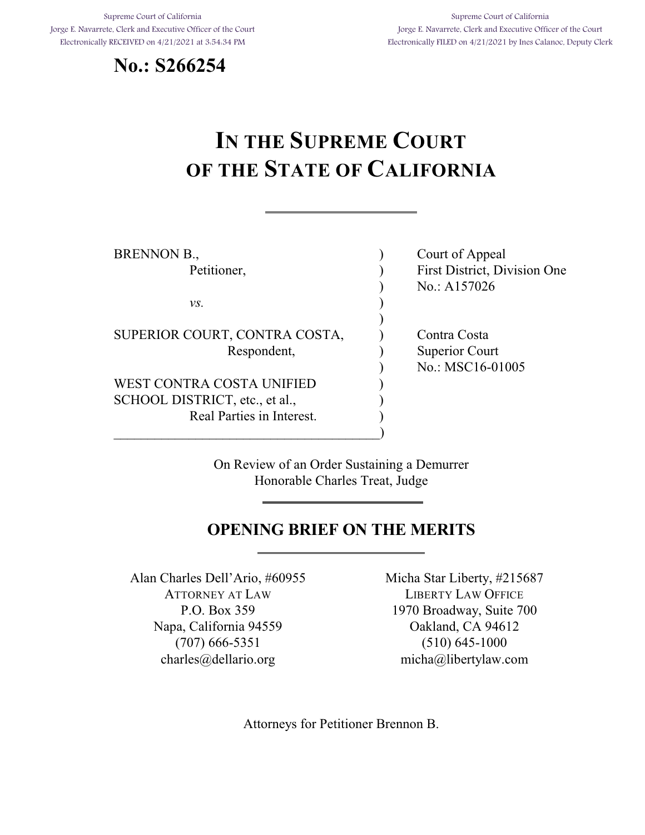Supreme Court of California Jorge E. Navarrete, Clerk and Executive Officer of the Court Electronically RECEIVED on 4/21/2021 at 3:54:34 PM





# **IN THE SUPREME COURT OF THE STATE OF CALIFORNIA**

| BRENNON B.,                    | Court of Appeal              |
|--------------------------------|------------------------------|
| Petitioner,                    | First District, Division One |
|                                | No.: A157026                 |
| VS.                            |                              |
|                                |                              |
| SUPERIOR COURT, CONTRA COSTA,  | Contra Costa                 |
| Respondent,                    | <b>Superior Court</b>        |
|                                | No.: MSC16-01005             |
| WEST CONTRA COSTA UNIFIED      |                              |
| SCHOOL DISTRICT, etc., et al., |                              |
| Real Parties in Interest.      |                              |
|                                |                              |

On Review of an Order Sustaining a Demurrer Honorable Charles Treat, Judge

### **OPENING BRIEF ON THE MERITS**

Alan Charles Dell'Ario, #60955 ATTORNEY AT LAW P.O. Box 359 Napa, California 94559 (707) 666-5351 charles@dellario.org

Micha Star Liberty, #215687 LIBERTY LAW OFFICE 1970 Broadway, Suite 700 Oakland, CA 94612 (510) 645-1000 micha@libertylaw.com

Attorneys for Petitioner Brennon B.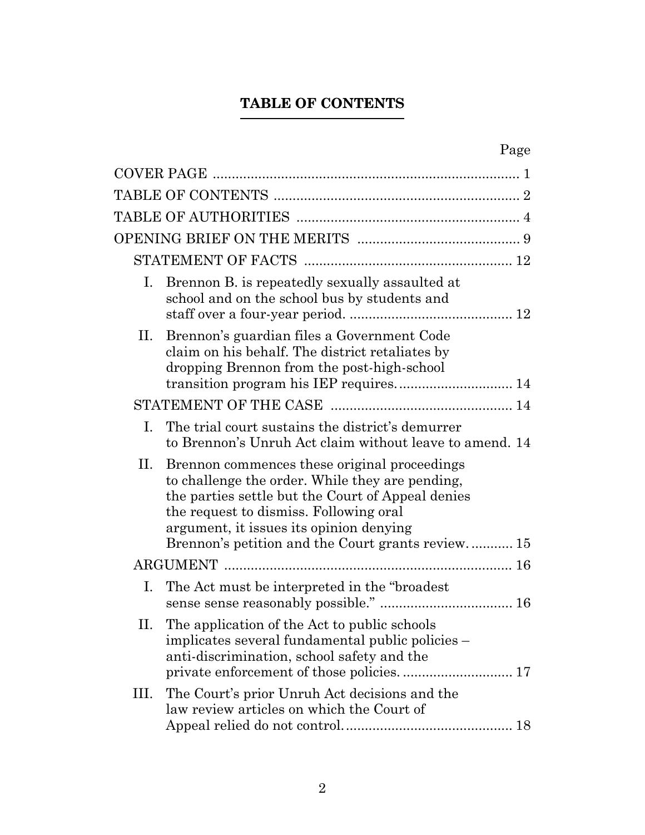## **TABLE OF CONTENTS**

<span id="page-1-0"></span>

| Ι.   | Brennon B. is repeatedly sexually assaulted at<br>school and on the school bus by students and                                                                                                                                                                                                 |
|------|------------------------------------------------------------------------------------------------------------------------------------------------------------------------------------------------------------------------------------------------------------------------------------------------|
| П.   | Brennon's guardian files a Government Code<br>claim on his behalf. The district retaliates by<br>dropping Brennon from the post-high-school                                                                                                                                                    |
|      |                                                                                                                                                                                                                                                                                                |
| Ι.   | The trial court sustains the district's demurrer<br>to Brennon's Unruh Act claim without leave to amend. 14                                                                                                                                                                                    |
| П.   | Brennon commences these original proceedings<br>to challenge the order. While they are pending,<br>the parties settle but the Court of Appeal denies<br>the request to dismiss. Following oral<br>argument, it issues its opinion denying<br>Brennon's petition and the Court grants review 15 |
|      |                                                                                                                                                                                                                                                                                                |
| Ι.   | The Act must be interpreted in the "broadest"                                                                                                                                                                                                                                                  |
| П.   | The application of the Act to public schools<br>implicates several fundamental public policies -<br>anti-discrimination, school safety and the                                                                                                                                                 |
| III. | The Court's prior Unruh Act decisions and the<br>law review articles on which the Court of                                                                                                                                                                                                     |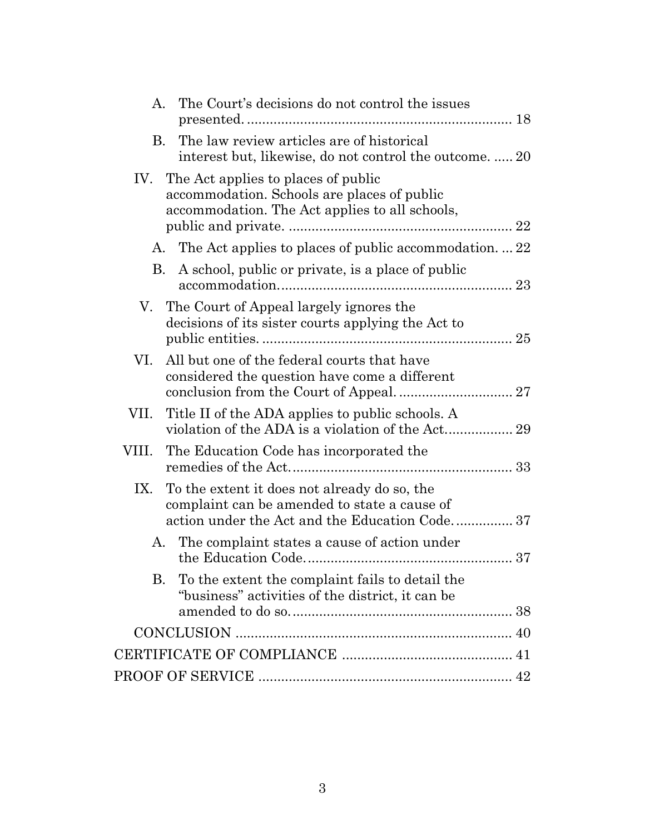| The Court's decisions do not control the issues<br>A.                                                                                             |  |
|---------------------------------------------------------------------------------------------------------------------------------------------------|--|
| The law review articles are of historical<br>B.<br>interest but, likewise, do not control the outcome.  20                                        |  |
| IV. The Act applies to places of public<br>accommodation. Schools are places of public<br>accommodation. The Act applies to all schools,          |  |
| A. The Act applies to places of public accommodation22                                                                                            |  |
| A school, public or private, is a place of public<br>В.                                                                                           |  |
| The Court of Appeal largely ignores the<br>V.<br>decisions of its sister courts applying the Act to                                               |  |
| All but one of the federal courts that have<br>VI.<br>considered the question have come a different                                               |  |
| VII. Title II of the ADA applies to public schools. A                                                                                             |  |
| VIII. The Education Code has incorporated the                                                                                                     |  |
| IX. To the extent it does not already do so, the<br>complaint can be amended to state a cause of<br>action under the Act and the Education Code37 |  |
| A. The complaint states a cause of action under                                                                                                   |  |
| <b>B.</b><br>To the extent the complaint fails to detail the<br>"business" activities of the district, it can be                                  |  |
|                                                                                                                                                   |  |
|                                                                                                                                                   |  |
|                                                                                                                                                   |  |
|                                                                                                                                                   |  |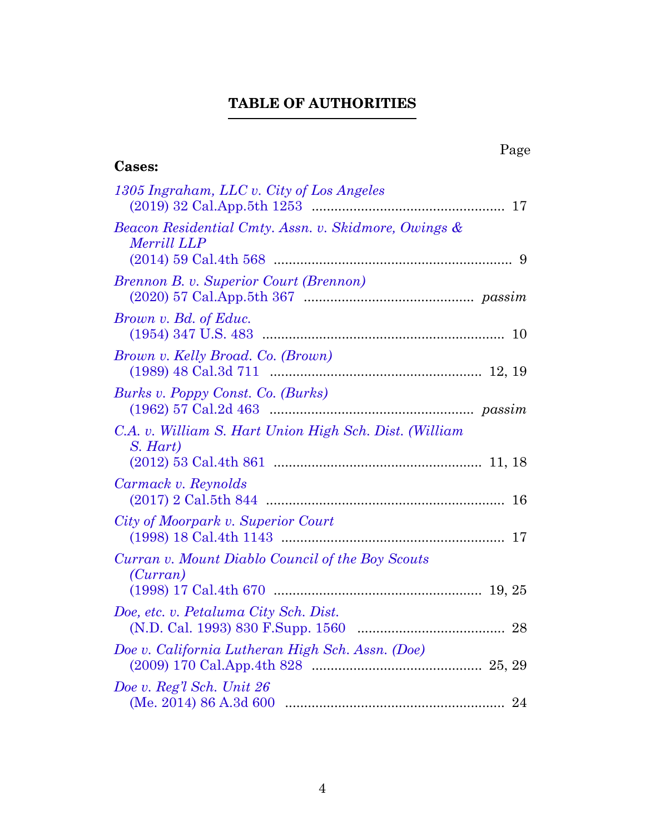## **TABLE OF AUTHORITIES**

<span id="page-3-0"></span>

| Page<br><b>Cases:</b>                                               |
|---------------------------------------------------------------------|
| 1305 Ingraham, LLC v. City of Los Angeles                           |
| Beacon Residential Cmty. Assn. v. Skidmore, Owings &<br>Merrill LLP |
| Brennon B. v. Superior Court (Brennon)                              |
| Brown v. Bd. of Educ.                                               |
| Brown v. Kelly Broad. Co. (Brown)                                   |
| Burks v. Poppy Const. Co. (Burks)                                   |
| C.A. v. William S. Hart Union High Sch. Dist. (William<br>S. Hart)  |
| Carmack v. Reynolds                                                 |
| City of Moorpark v. Superior Court                                  |
| Curran v. Mount Diablo Council of the Boy Scouts<br>(Curran)        |
| Doe, etc. v. Petaluma City Sch. Dist.                               |
| Doe v. California Lutheran High Sch. Assn. (Doe)                    |
| Doe v. Reg'l Sch. Unit 26<br>(Me. 2014) 86 A.3d 600                 |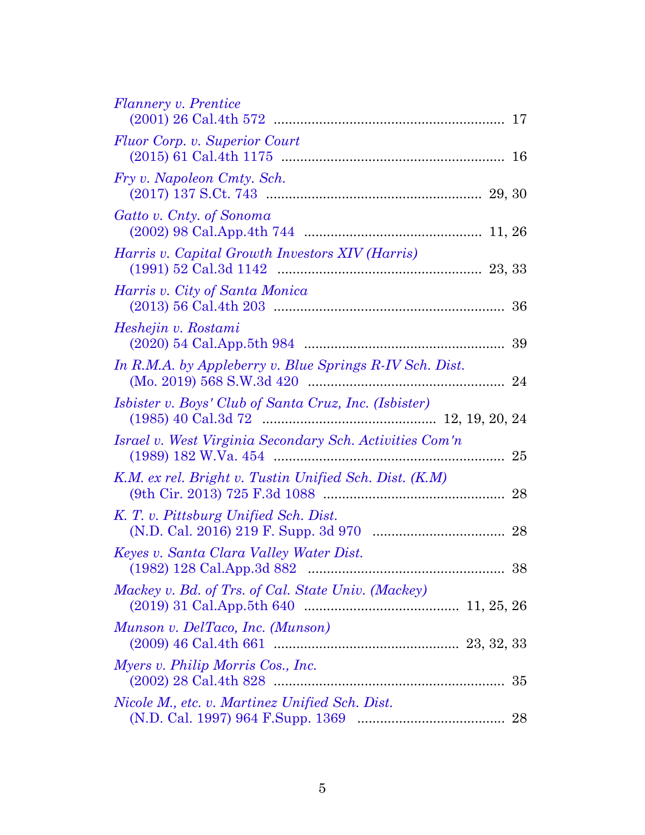| Flannery v. Prentice                                         |
|--------------------------------------------------------------|
| Fluor Corp. v. Superior Court                                |
| Fry v. Napoleon Cmty. Sch.                                   |
| Gatto v. Cnty. of Sonoma                                     |
| Harris v. Capital Growth Investors XIV (Harris)              |
| Harris v. City of Santa Monica<br>36                         |
| Heshejin v. Rostami<br>39                                    |
| In R.M.A. by Appleberry v. Blue Springs R-IV Sch. Dist.      |
| <i>Isbister v. Boys' Club of Santa Cruz, Inc. (Isbister)</i> |
| Israel v. West Virginia Secondary Sch. Activities Com'n      |
| K.M. ex rel. Bright v. Tustin Unified Sch. Dist. (K.M)<br>28 |
| K. T. v. Pittsburg Unified Sch. Dist.                        |
| Keyes v. Santa Clara Valley Water Dist.<br>38                |
| Mackey v. Bd. of Trs. of Cal. State Univ. (Mackey)           |
| Munson v. DelTaco, Inc. (Munson)                             |
| Myers v. Philip Morris Cos., Inc.<br>35                      |
| Nicole M., etc. v. Martinez Unified Sch. Dist.<br>28         |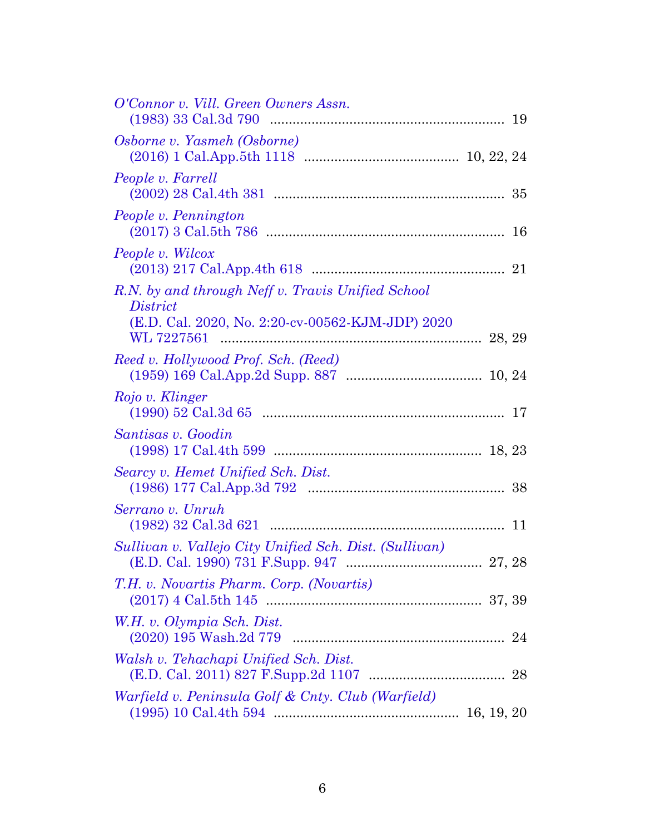| O'Connor v. Vill. Green Owners Assn.                                 |  |
|----------------------------------------------------------------------|--|
| Osborne v. Yasmeh (Osborne)                                          |  |
| People v. Farrell                                                    |  |
| People v. Pennington                                                 |  |
| People v. Wilcox                                                     |  |
| R.N. by and through Neff v. Travis Unified School<br><i>District</i> |  |
| (E.D. Cal. 2020, No. 2:20-cv-00562-KJM-JDP) 2020                     |  |
| Reed v. Hollywood Prof. Sch. (Reed)                                  |  |
| Rojo v. Klinger                                                      |  |
| Santisas v. Goodin                                                   |  |
| Searcy v. Hemet Unified Sch. Dist.                                   |  |
| Serrano v. Unruh                                                     |  |
| Sullivan v. Vallejo City Unified Sch. Dist. (Sullivan)               |  |
| T.H. v. Novartis Pharm. Corp. (Novartis)                             |  |
| W.H. v. Olympia Sch. Dist.                                           |  |
| Walsh v. Tehachapi Unified Sch. Dist.                                |  |
| Warfield v. Peninsula Golf & Cnty. Club (Warfield)                   |  |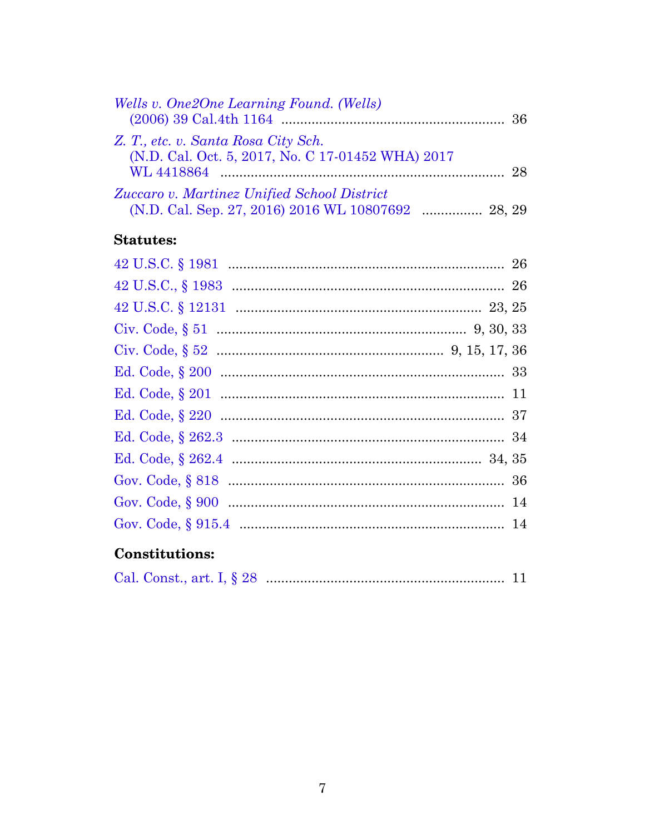| Wells v. One2One Learning Found. (Wells)          |    |
|---------------------------------------------------|----|
|                                                   |    |
| Z. T., etc. v. Santa Rosa City Sch.               |    |
| (N.D. Cal. Oct. 5, 2017, No. C 17-01452 WHA) 2017 |    |
|                                                   | 28 |
| Zuccaro v. Martinez Unified School District       |    |
|                                                   |    |

### **Statutes:**

## Constitutions:

|--|--|--|--|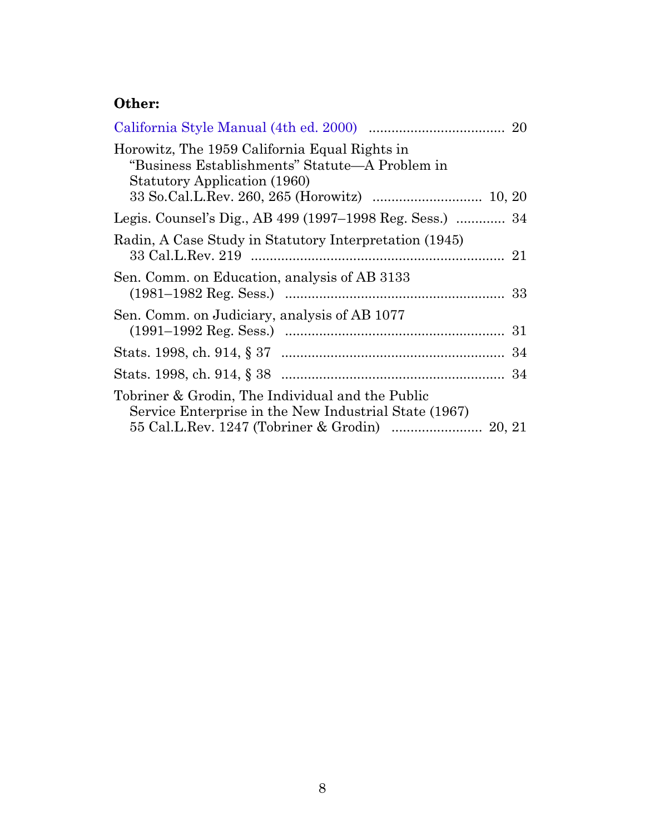## **Other:**

| Horowitz, The 1959 California Equal Rights in<br>"Business Establishments" Statute—A Problem in<br>Statutory Application (1960) |  |
|---------------------------------------------------------------------------------------------------------------------------------|--|
| Legis. Counsel's Dig., AB 499 (1997–1998 Reg. Sess.)  34                                                                        |  |
| Radin, A Case Study in Statutory Interpretation (1945)                                                                          |  |
| Sen. Comm. on Education, analysis of AB 3133                                                                                    |  |
| Sen. Comm. on Judiciary, analysis of AB 1077                                                                                    |  |
|                                                                                                                                 |  |
|                                                                                                                                 |  |
| Tobriner & Grodin, The Individual and the Public<br>Service Enterprise in the New Industrial State (1967)                       |  |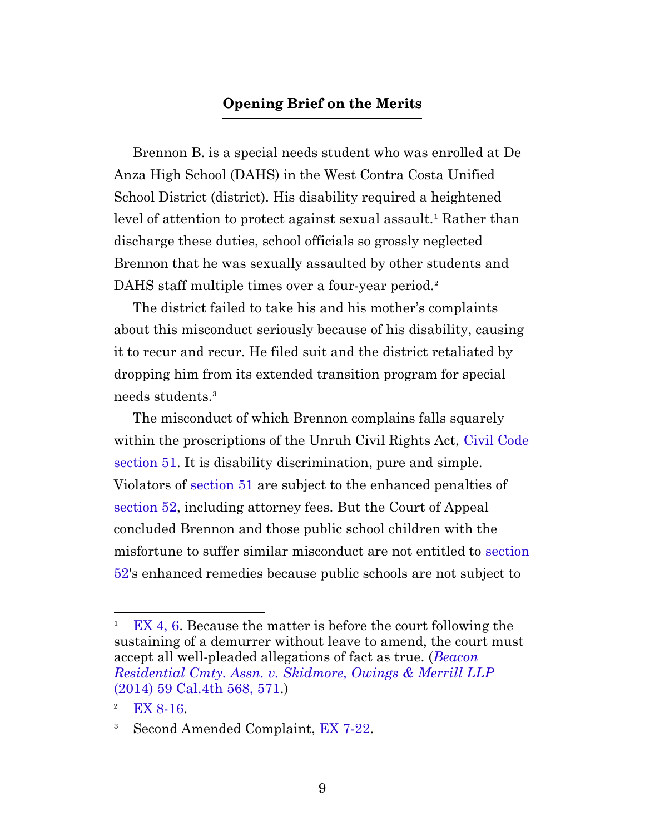#### **Opening Brief on the Merits**

<span id="page-8-0"></span>Brennon B. is a special needs student who was enrolled at De Anza High School (DAHS) in the West Contra Costa Unified School District (district). His disability required a heightened level of attention to protect against sexual assault.<sup>1</sup> Rather than discharge these duties, school officials so grossly neglected Brennon that he was sexually assaulted by other students and DAHS staff multiple times over a four-year period.<sup>2</sup>

The district failed to take his and his mother's complaints about this misconduct seriously because of his disability, causing it to recur and recur. He filed suit and the district retaliated by dropping him from its extended transition program for special needs students.³

The misconduct of which Brennon complains falls squarely within the proscriptions of the Unruh Civil Rights Act, [Civil Code](https://leginfo.legislature.ca.gov/faces/codes_displaySection.xhtml?sectionNum=51.&lawCode=CIV) [section 51.](https://leginfo.legislature.ca.gov/faces/codes_displaySection.xhtml?sectionNum=51.&lawCode=CIV) It is disability discrimination, pure and simple. Violators of [section 51](https://leginfo.legislature.ca.gov/faces/codes_displaySection.xhtml?sectionNum=51.&lawCode=CIV) are subject to the enhanced penalties of [section 52,](https://leginfo.legislature.ca.gov/faces/codes_displaySection.xhtml?sectionNum=52.&lawCode=CIV) including attorney fees. But the Court of Appeal concluded Brennon and those public school children with the misfortune to suffer similar misconduct are not entitled to [section](https://leginfo.legislature.ca.gov/faces/codes_displaySection.xhtml?sectionNum=52.&lawCode=CIV) [52](https://leginfo.legislature.ca.gov/faces/codes_displaySection.xhtml?sectionNum=52.&lawCode=CIV)'s enhanced remedies because public schools are not subject to

 $E[X_4, 6]$ . Because the matter is before the court following the sustaining of a demurrer without leave to amend, the court must accept all well-pleaded allegations of fact as true. (*[Beacon](https://casetext.com/case/beacon-residential-cmty-assn-v-skidmore-owings-merrill-llp#p571) [Residential Cmty. Assn. v. Skidmore, Owings & Merrill LLP](https://casetext.com/case/beacon-residential-cmty-assn-v-skidmore-owings-merrill-llp#p571)* [\(2014\) 59 Cal.4th 568, 571](https://casetext.com/case/beacon-residential-cmty-assn-v-skidmore-owings-merrill-llp#p571).)

 $2$  [EX 8-16.](http://app.typelaw.com/r/9jctczreymwboa?pin=8&page=8#page=8)

<sup>&</sup>lt;sup>3</sup> Second Amended Complaint, [EX 7-22](http://app.typelaw.com/r/9jctczreymwboa?pin=7&page=7#page=7).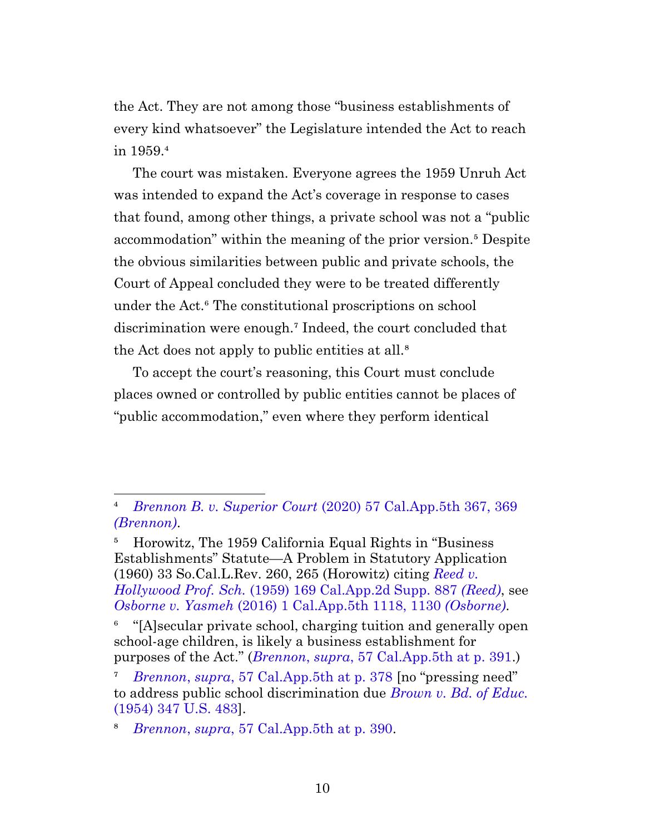the Act. They are not among those "business establishments of every kind whatsoever" the Legislature intended the Act to reach in 1959.4

The court was mistaken. Everyone agrees the 1959 Unruh Act was intended to expand the Act's coverage in response to cases that found, among other things, a private school was not a "public accommodation" within the meaning of the prior version.<sup>5</sup> Despite the obvious similarities between public and private schools, the Court of Appeal concluded they were to be treated differently under the Act.⁶ The constitutional proscriptions on school discrimination were enough.<sup>7</sup> Indeed, the court concluded that the Act does not apply to public entities at all.<sup>8</sup>

To accept the court's reasoning, this Court must conclude places owned or controlled by public entities cannot be places of "public accommodation," even where they perform identical

⁶ "[A]secular private school, charging tuition and generally open school-age children, is likely a business establishment for purposes of the Act." (*Brennon*, *supra*[, 57 Cal.App.5th at p. 391](https://casetext.com/case/brennon-b-v-superior-court#p391).)

⁴ *Brennon B. v. Superior Court* [\(2020\) 57 Cal.App.5th 367, 369](https://casetext.com/case/brennon-b-v-superior-court#p369) *[\(Brennon\)](https://casetext.com/case/brennon-b-v-superior-court#p369)*.

<span id="page-9-0"></span>⁵ Horowitz, The 1959 California Equal Rights in "Business Establishments" Statute—A Problem in Statutory Application (1960) 33 So.Cal.L.Rev. 260, 265 (Horowitz) citing *[Reed v.](https://casetext.com/case/reed-v-hollywood-professional-school) Hollywood Prof. Sch.* [\(1959\) 169 Cal.App.2d Supp. 887](https://casetext.com/case/reed-v-hollywood-professional-school) *(Reed)*, see *Osborne v. Yasmeh* [\(2016\) 1 Cal.App.5th 1118, 1130](https://casetext.com/case/osborne-v-yasmeh-1#p1130) *(Osborne)*.

⁷ *Brennon*, *supra*[, 57 Cal.App.5th at p. 378](https://casetext.com/case/brennon-b-v-superior-court#p378) [no "pressing need" to address public school discrimination due *[Brown v. Bd. of Educ.](https://casetext.com/case/brown-v-board-of-education)* [\(1954\) 347 U.S. 483\]](https://casetext.com/case/brown-v-board-of-education).

⁸ *Brennon*, *supra*[, 57 Cal.App.5th at p. 390.](https://casetext.com/case/brennon-b-v-superior-court#p390)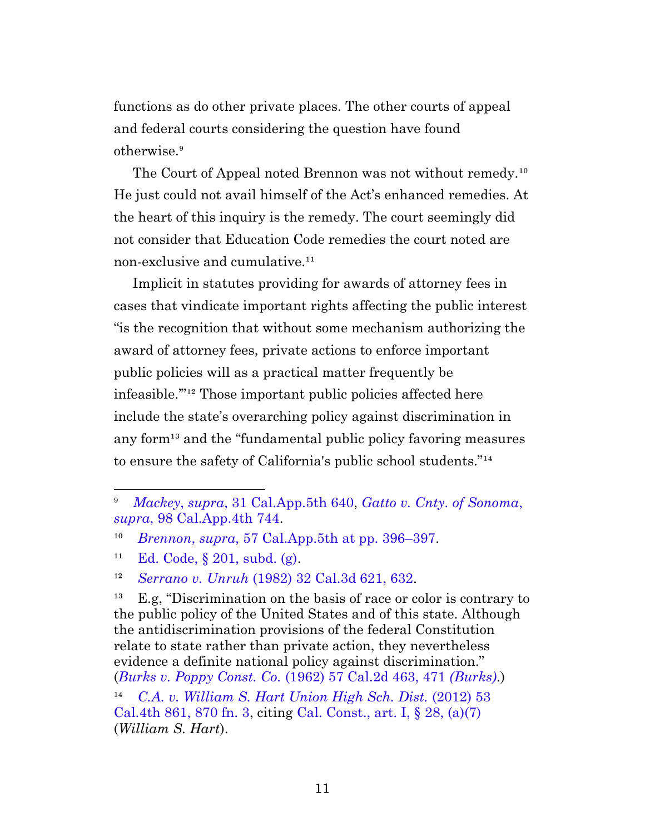functions as do other private places. The other courts of appeal and federal courts considering the question have found otherwise.<sup>9</sup>

The Court of Appeal noted Brennon was not without remedy.<sup>10</sup> He just could not avail himself of the Act's enhanced remedies. At the heart of this inquiry is the remedy. The court seemingly did not consider that Education Code remedies the court noted are non-exclusive and cumulative.<sup>11</sup>

Implicit in statutes providing for awards of attorney fees in cases that vindicate important rights affecting the public interest "is the recognition that without some mechanism authorizing the award of attorney fees, private actions to enforce important public policies will as a practical matter frequently be infeasible."<sup>12</sup> Those important public policies affected here include the state's overarching policy against discrimination in any form<sup>13</sup> and the "fundamental public policy favoring measures" to ensure the safety of California's public school students."<sup>14</sup>

 $^{13}$  E.g, "Discrimination on the basis of race or color is contrary to the public policy of the United States and of this state. Although the antidiscrimination provisions of the federal Constitution relate to state rather than private action, they nevertheless evidence a definite national policy against discrimination." (*[Burks v. Poppy Const. Co.](https://casetext.com/case/burks-v-poppy-construction-co#p471)* (1962) 57 Cal.2d 463, 471 *(Burks)*.)

⁹ *Mackey*, *supra*[, 31 Cal.App.5th 640](https://casetext.com/case/mackey-v-bd-of-trs-of-the-cal-state-univ), *[Gatto v. Cnty. of Sonoma](https://casetext.com/case/gatto-v-county-of-sonoma)*, *supra*[, 98 Cal.App.4th 744](https://casetext.com/case/gatto-v-county-of-sonoma).

¹⁰ *Brennon*, *supra*[, 57 Cal.App.5th at pp. 396–397.](https://casetext.com/case/brennon-b-v-superior-court#p396)

<sup>&</sup>lt;sup>11</sup> Ed. Code, § [201, subd. \(g\)](https://leginfo.legislature.ca.gov/faces/codes_displaySection.xhtml?sectionNum=201.&lawCode=EDC).

¹² *Serrano v. Unruh* [\(1982\) 32 Cal.3d 621, 632](https://casetext.com/case/serrano-v-unruh#p632).

<sup>&</sup>lt;sup>14</sup> [C.A. v. William S. Hart Union High Sch. Dist.](https://casetext.com/case/ca-v-william-s-hart-union-high-sch-dist#p870) (2012) 53 [Cal.4th 861, 870 fn. 3](https://casetext.com/case/ca-v-william-s-hart-union-high-sch-dist#p870), citing [Cal. Const., art. I, §](https://leginfo.legislature.ca.gov/faces/codes_displaySection.xhtml?lawCode=CONS§ionNum=SEC.%2028.&article=I) 28, (a)(7) (*William S. Hart*).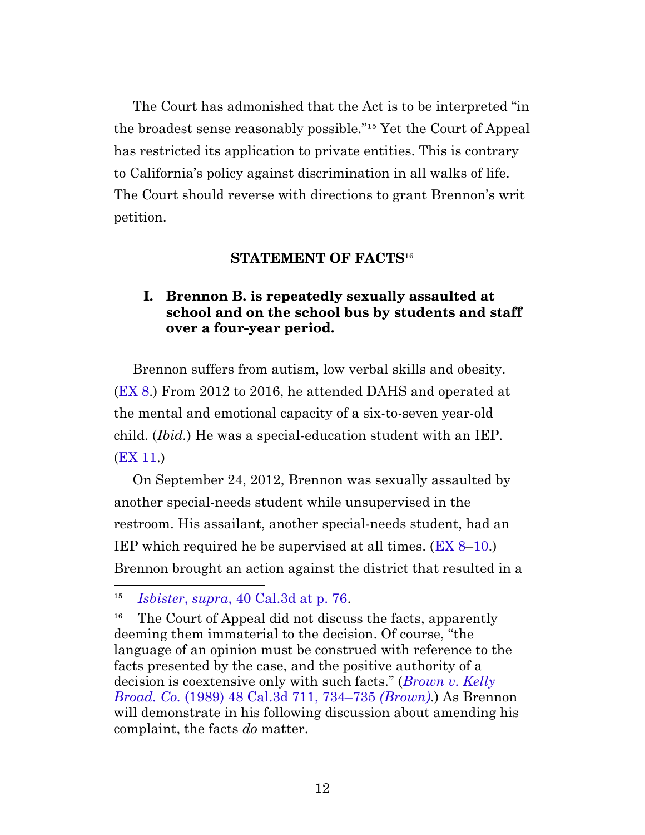The Court has admonished that the Act is to be interpreted "in the broadest sense reasonably possible."<sup>15</sup> Yet the Court of Appeal has restricted its application to private entities. This is contrary to California's policy against discrimination in all walks of life. The Court should reverse with directions to grant Brennon's writ petition.

#### **STATEMENT OF FACTS<sup>16</sup>**

#### <span id="page-11-0"></span>**I. Brennon B. is repeatedly sexually assaulted at school and on the school bus by students and staff over a four-year period.**

<span id="page-11-1"></span>Brennon suffers from autism, low verbal skills and obesity. [\(EX 8.](http://app.typelaw.com/r/9jctczreymwboa?pin=8&page=8#page=8)) From 2012 to 2016, he attended DAHS and operated at the mental and emotional capacity of a six-to-seven year-old child. (*Ibid.*) He was a special-education student with an IEP. [\(EX 11.](http://app.typelaw.com/r/9jctczreymwboa?pin=11&page=11#page=11))

On September 24, 2012, Brennon was sexually assaulted by another special-needs student while unsupervised in the restroom. His assailant, another special-needs student, had an IEP which required he be supervised at all times. ([EX 8](http://app.typelaw.com/r/9jctczreymwboa?pin=8&page=8#page=8)[–10.](http://app.typelaw.com/r/9jctczreymwboa?pin=10&page=10#page=10)) Brennon brought an action against the district that resulted in a

¹⁵ *Isbister*, *supra*[, 40 Cal.3d at p. 76.](https://casetext.com/case/isbister-v-boys-club-of-santa-cruz-inc#p76)

<sup>&</sup>lt;sup>16</sup> The Court of Appeal did not discuss the facts, apparently deeming them immaterial to the decision. Of course, "the language of an opinion must be construed with reference to the facts presented by the case, and the positive authority of a decision is coextensive only with such facts." (*[Brown v. Kelly](https://casetext.com/case/brown-v-kelly-broadcasting-co#p734) Broad. Co.* [\(1989\) 48 Cal.3d 711, 734–735](https://casetext.com/case/brown-v-kelly-broadcasting-co#p734) *(Brown)*.) As Brennon will demonstrate in his following discussion about amending his complaint, the facts *do* matter.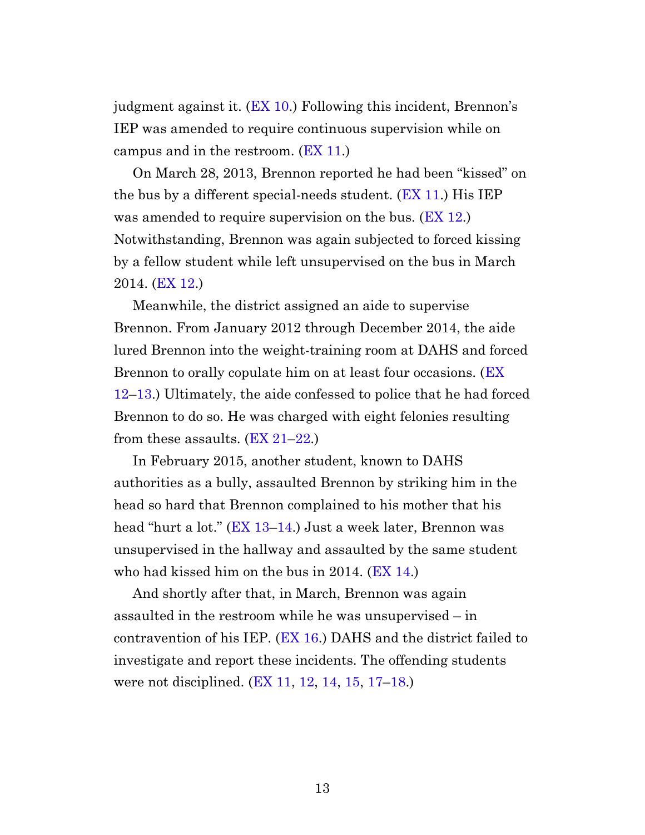judgment against it. ([EX 10](http://app.typelaw.com/r/9jctczreymwboa?pin=10&page=10#page=10).) Following this incident, Brennon's IEP was amended to require continuous supervision while on campus and in the restroom. ([EX 11](http://app.typelaw.com/r/9jctczreymwboa?pin=11&page=11#page=11).)

On March 28, 2013, Brennon reported he had been "kissed" on the bus by a different special-needs student. ([EX 11.](http://app.typelaw.com/r/9jctczreymwboa?pin=11&page=11#page=11)) His IEP was amended to require supervision on the bus. ([EX 12](http://app.typelaw.com/r/9jctczreymwboa?pin=12&page=12#page=12).) Notwithstanding, Brennon was again subjected to forced kissing by a fellow student while left unsupervised on the bus in March 2014. [\(EX 12](http://app.typelaw.com/r/9jctczreymwboa?pin=12&page=12#page=12).)

Meanwhile, the district assigned an aide to supervise Brennon. From January 2012 through December 2014, the aide lured Brennon into the weight-training room at DAHS and forced Brennon to orally copulate him on at least four occasions. [\(EX](http://app.typelaw.com/r/9jctczreymwboa?pin=12&page=12#page=12) [12](http://app.typelaw.com/r/9jctczreymwboa?pin=12&page=12#page=12)–[13](http://app.typelaw.com/r/9jctczreymwboa?pin=13&page=13#page=13).) Ultimately, the aide confessed to police that he had forced Brennon to do so. He was charged with eight felonies resulting from these assaults.  $(EX 21-22)$  $(EX 21-22)$  $(EX 21-22)$ .

In February 2015, another student, known to DAHS authorities as a bully, assaulted Brennon by striking him in the head so hard that Brennon complained to his mother that his head "hurt a lot." [\(EX 13–](http://app.typelaw.com/r/9jctczreymwboa?pin=13&page=13#page=13)[14.](http://app.typelaw.com/r/9jctczreymwboa?pin=14&page=14#page=14)) Just a week later, Brennon was unsupervised in the hallway and assaulted by the same student who had kissed him on the bus in 2014. ([EX 14.](http://app.typelaw.com/r/9jctczreymwboa?pin=14&page=14#page=14))

And shortly after that, in March, Brennon was again assaulted in the restroom while he was unsupervised – in contravention of his IEP. ([EX 16.](http://app.typelaw.com/r/9jctczreymwboa?pin=16&page=16#page=16)) DAHS and the district failed to investigate and report these incidents. The offending students were not disciplined. ([EX 11,](http://app.typelaw.com/r/9jctczreymwboa?pin=11&page=11#page=11) [12](http://app.typelaw.com/r/9jctczreymwboa?pin=12&page=12#page=12), [14](http://app.typelaw.com/r/9jctczreymwboa?pin=14&page=14#page=14), [15,](http://app.typelaw.com/r/9jctczreymwboa?pin=15&page=15#page=15) [17–](http://app.typelaw.com/r/9jctczreymwboa?pin=17&page=17#page=17)[18](http://app.typelaw.com/r/9jctczreymwboa?pin=18&page=18#page=18).)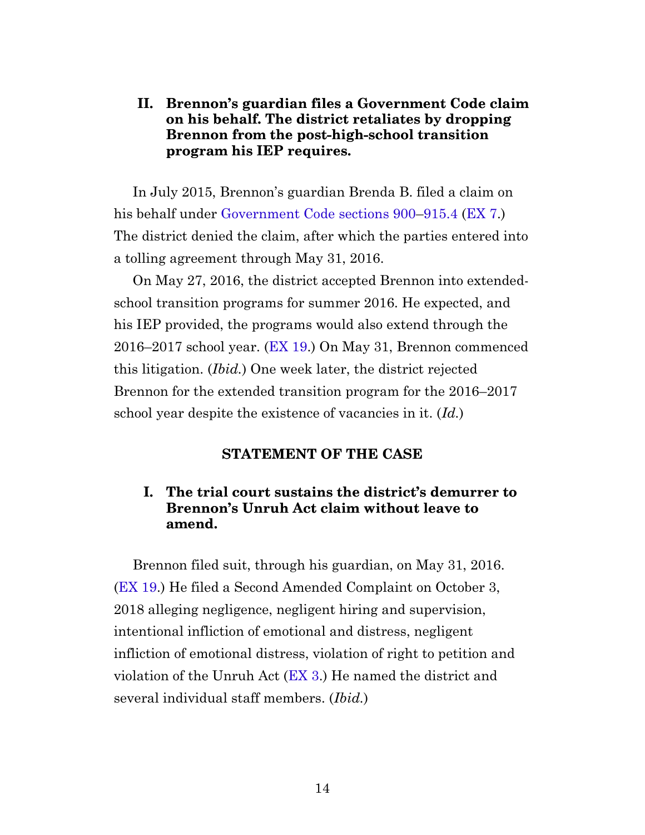#### <span id="page-13-0"></span>**II. Brennon's guardian files a Government Code claim on his behalf. The district retaliates by dropping Brennon from the post-high-school transition program his IEP requires.**

In July 2015, Brennon's guardian Brenda B. filed a claim on his behalf under [Government Code sections 900](https://leginfo.legislature.ca.gov/faces/codes_displaySection.xhtml?sectionNum=900.&lawCode=GOV)[–915.4](https://leginfo.legislature.ca.gov/faces/codes_displaySection.xhtml?sectionNum=915.4.&lawCode=GOV) ([EX 7](http://app.typelaw.com/r/9jctczreymwboa?pin=7&page=7#page=7).) The district denied the claim, after which the parties entered into a tolling agreement through May 31, 2016.

On May 27, 2016, the district accepted Brennon into extendedschool transition programs for summer 2016. He expected, and his IEP provided, the programs would also extend through the 2016–2017 school year. [\(EX 19.](http://app.typelaw.com/r/9jctczreymwboa?pin=19&page=19#page=19)) On May 31, Brennon commenced this litigation. (*Ibid.*) One week later, the district rejected Brennon for the extended transition program for the 2016–2017 school year despite the existence of vacancies in it. (*Id.*)

#### **STATEMENT OF THE CASE**

#### <span id="page-13-1"></span>**I. The trial court sustains the district's demurrer to Brennon's Unruh Act claim without leave to amend.**

<span id="page-13-2"></span>Brennon filed suit, through his guardian, on May 31, 2016. [\(EX 19.](http://app.typelaw.com/r/9jctczreymwboa?pin=19&page=19#page=19)) He filed a Second Amended Complaint on October 3, 2018 alleging negligence, negligent hiring and supervision, intentional infliction of emotional and distress, negligent infliction of emotional distress, violation of right to petition and violation of the Unruh Act ([EX 3](http://app.typelaw.com/r/9jctczreymwboa?pin=3&page=3#page=3).) He named the district and several individual staff members. (*Ibid.*)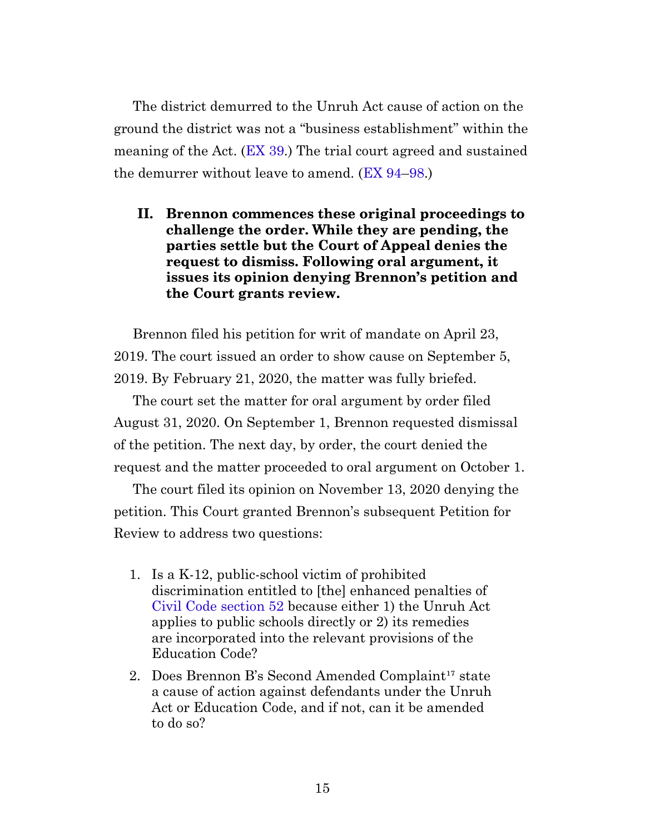The district demurred to the Unruh Act cause of action on the ground the district was not a "business establishment" within the meaning of the Act. [\(EX 39.](http://app.typelaw.com/r/9jctczreymwboa?pin=39&page=39#page=39)) The trial court agreed and sustained the demurrer without leave to amend. ([EX 94](http://app.typelaw.com/r/9jctczreymwboa?pin=94&page=94#page=94)[–98.](http://app.typelaw.com/r/9jctczreymwboa?pin=98&page=98#page=98))

<span id="page-14-0"></span>**II. Brennon commences these original proceedings to challenge the order. While they are pending, the parties settle but the Court of Appeal denies the request to dismiss. Following oral argument, it issues its opinion denying Brennon's petition and the Court grants review.**

Brennon filed his petition for writ of mandate on April 23, 2019. The court issued an order to show cause on September 5, 2019. By February 21, 2020, the matter was fully briefed.

The court set the matter for oral argument by order filed August 31, 2020. On September 1, Brennon requested dismissal of the petition. The next day, by order, the court denied the request and the matter proceeded to oral argument on October 1.

The court filed its opinion on November 13, 2020 denying the petition. This Court granted Brennon's subsequent Petition for Review to address two questions:

- 1. Is a K-12, public-school victim of prohibited discrimination entitled to [the] enhanced penalties of [Civil Code section 52](https://leginfo.legislature.ca.gov/faces/codes_displaySection.xhtml?sectionNum=52.&lawCode=CIV) because either 1) the Unruh Act applies to public schools directly or 2) its remedies are incorporated into the relevant provisions of the Education Code?
- 2. Does Brennon B's Second Amended Complaint<sup>17</sup> state a cause of action against defendants under the Unruh Act or Education Code, and if not, can it be amended to do so?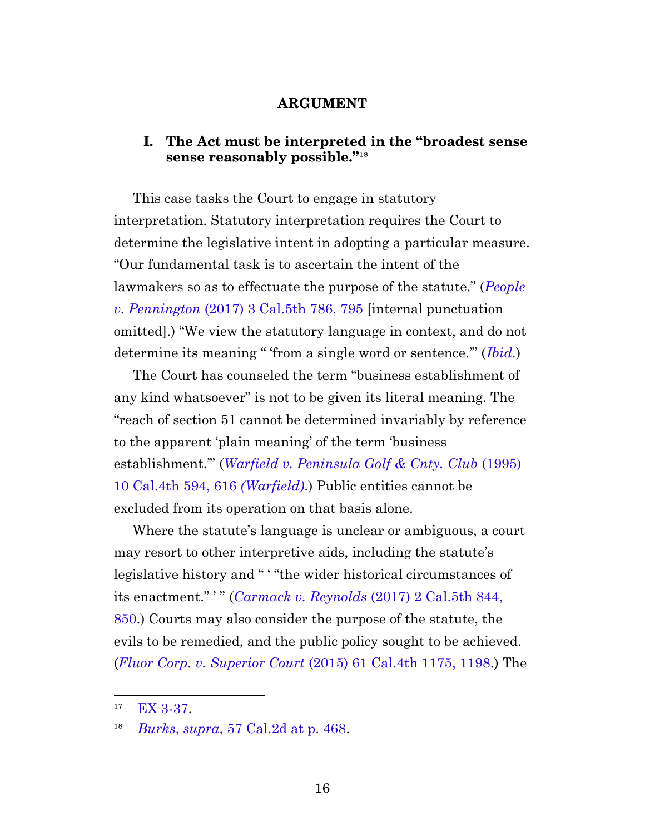#### **ARGUMENT**

#### <span id="page-15-0"></span>**I. The Act must be interpreted in the "broadest sense** sense reasonably possible."<sup>18</sup>

<span id="page-15-1"></span>This case tasks the Court to engage in statutory interpretation. Statutory interpretation requires the Court to determine the legislative intent in adopting a particular measure. "Our fundamental task is to ascertain the intent of the lawmakers so as to effectuate the purpose of the statute." (*[People](https://casetext.com/case/people-v-pennington-44#p795) v. Pennington* [\(2017\) 3 Cal.5th 786, 795](https://casetext.com/case/people-v-pennington-44#p795) [internal punctuation omitted].) "We view the statutory language in context, and do not determine its meaning " 'from a single word or sentence.'" (*[Ibid.](https://casetext.com/case/people-v-pennington-44#p795)*)

The Court has counseled the term "business establishment of any kind whatsoever" is not to be given its literal meaning. The "reach of section 51 cannot be determined invariably by reference to the apparent 'plain meaning' of the term 'business establishment.'" (*[Warfield v. Peninsula Golf & Cnty. Club](https://casetext.com/case/warfield-v-peninsula-golf-country-club-3#p616)* (1995) [10 Cal.4th 594, 616](https://casetext.com/case/warfield-v-peninsula-golf-country-club-3#p616) *(Warfield)*.) Public entities cannot be excluded from its operation on that basis alone.

Where the statute's language is unclear or ambiguous, a court may resort to other interpretive aids, including the statute's legislative history and " ' "the wider historical circumstances of its enactment." ' " (*[Carmack v. Reynolds](https://casetext.com/case/carmack-v-reynolds-4#p850)* (2017) 2 Cal.5th 844, [850.](https://casetext.com/case/carmack-v-reynolds-4#p850)) Courts may also consider the purpose of the statute, the evils to be remedied, and the public policy sought to be achieved. (*[Fluor Corp. v. Superior Court](https://casetext.com/case/fluor-corp-v-superior-court-of-orange-cnty-4#p1198)* (2015) 61 Cal.4th 1175, 1198.) The

 $17$  [EX 3-37.](http://app.typelaw.com/r/9jctczreymwboa?pin=3&page=3#page=3)

¹⁸ *Burks*, *supra*[, 57 Cal.2d at p. 468.](https://casetext.com/case/burks-v-poppy-construction-co#p468)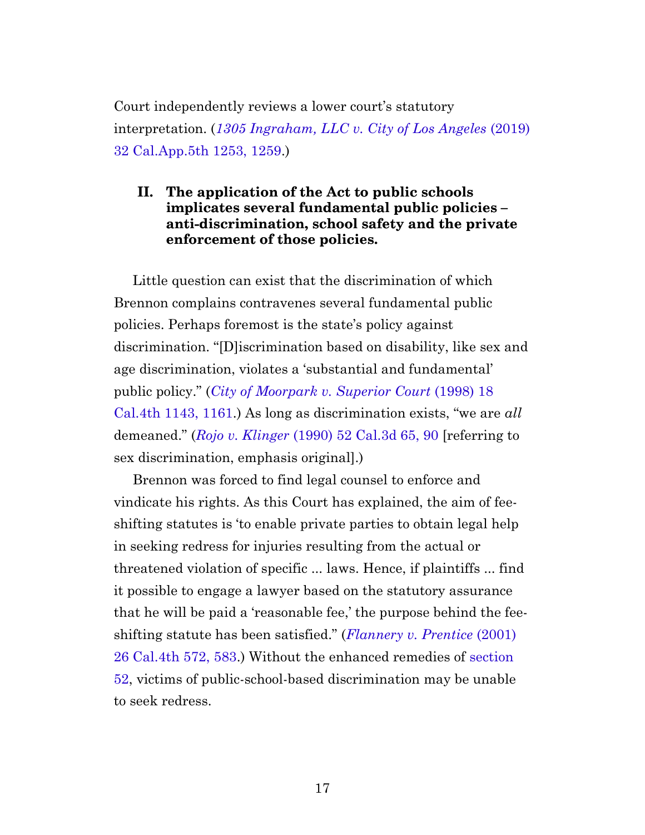Court independently reviews a lower court's statutory interpretation. (*[1305 Ingraham, LLC v. City of Los Angeles](https://casetext.com/case/1305-ingraham-llc-v-city-of-l-a#p1259)* (2019) [32 Cal.App.5th 1253, 1259](https://casetext.com/case/1305-ingraham-llc-v-city-of-l-a#p1259).)

#### <span id="page-16-0"></span>**II. The application of the Act to public schools implicates several fundamental public policies – anti-discrimination, school safety and the private enforcement of those policies.**

Little question can exist that the discrimination of which Brennon complains contravenes several fundamental public policies. Perhaps foremost is the state's policy against discrimination. "[D]iscrimination based on disability, like sex and age discrimination, violates a 'substantial and fundamental' public policy." (*[City of Moorpark v. Superior Court](https://casetext.com/case/city-of-moorpark-v-superior-court#p1161)* (1998) 18 [Cal.4th 1143, 1161](https://casetext.com/case/city-of-moorpark-v-superior-court#p1161).) As long as discrimination exists, "we are *all* demeaned." (*Rojo v. Klinger* [\(1990\) 52 Cal.3d 65, 90](https://casetext.com/case/rojo-v-kliger#p90) [referring to sex discrimination, emphasis original].)

Brennon was forced to find legal counsel to enforce and vindicate his rights. As this Court has explained, the aim of feeshifting statutes is 'to enable private parties to obtain legal help in seeking redress for injuries resulting from the actual or threatened violation of specific ... laws. Hence, if plaintiffs ... find it possible to engage a lawyer based on the statutory assurance that he will be paid a 'reasonable fee,' the purpose behind the feeshifting statute has been satisfied." (*[Flannery v. Prentice](https://casetext.com/case/flannery-v-prentice#p583)* (2001) [26 Cal.4th 572, 583.](https://casetext.com/case/flannery-v-prentice#p583)) Without the enhanced remedies of [section](https://leginfo.legislature.ca.gov/faces/codes_displaySection.xhtml?sectionNum=52.&lawCode=CIV) [52](https://leginfo.legislature.ca.gov/faces/codes_displaySection.xhtml?sectionNum=52.&lawCode=CIV), victims of public-school-based discrimination may be unable to seek redress.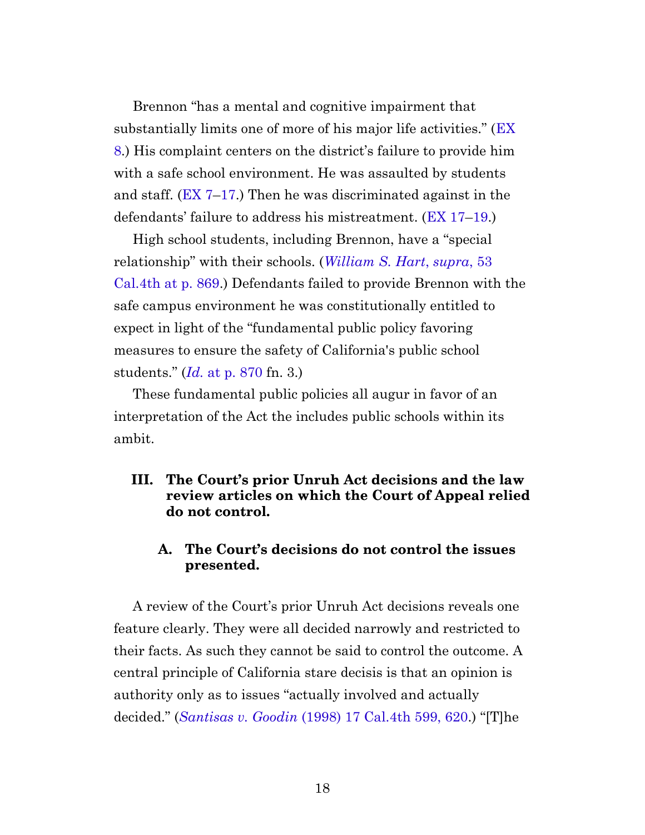Brennon "has a mental and cognitive impairment that substantially limits one of more of his major life activities." ([EX](http://app.typelaw.com/r/9jctczreymwboa?pin=8&page=8#page=8) [8](http://app.typelaw.com/r/9jctczreymwboa?pin=8&page=8#page=8).) His complaint centers on the district's failure to provide him with a safe school environment. He was assaulted by students and staff.  $(EX 7-17)$  $(EX 7-17)$  $(EX 7-17)$  Then he was discriminated against in the defendants' failure to address his mistreatment. ([EX 17–](http://app.typelaw.com/r/9jctczreymwboa?pin=17&page=17#page=17)[19](http://app.typelaw.com/r/9jctczreymwboa?pin=19&page=19#page=19).)

High school students, including Brennon, have a "special relationship" with their schools. (*[William S. Hart](https://casetext.com/case/ca-v-william-s-hart-union-high-sch-dist#p869)*, *supra*, 53 [Cal.4th at p. 869](https://casetext.com/case/ca-v-william-s-hart-union-high-sch-dist#p869).) Defendants failed to provide Brennon with the safe campus environment he was constitutionally entitled to expect in light of the "fundamental public policy favoring measures to ensure the safety of California's public school students." (*Id.* [at p. 870](https://casetext.com/case/ca-v-william-s-hart-union-high-sch-dist#p870) fn. 3.)

These fundamental public policies all augur in favor of an interpretation of the Act the includes public schools within its ambit.

#### <span id="page-17-0"></span>**III. The Court's prior Unruh Act decisions and the law review articles on which the Court of Appeal relied do not control.**

#### **A. The Court's decisions do not control the issues presented.**

<span id="page-17-1"></span>A review of the Court's prior Unruh Act decisions reveals one feature clearly. They were all decided narrowly and restricted to their facts. As such they cannot be said to control the outcome. A central principle of California stare decisis is that an opinion is authority only as to issues "actually involved and actually decided." (*Santisas v. Goodin* [\(1998\) 17 Cal.4th 599, 620](https://casetext.com/case/santisas-v-goodin#p620).) "[T]he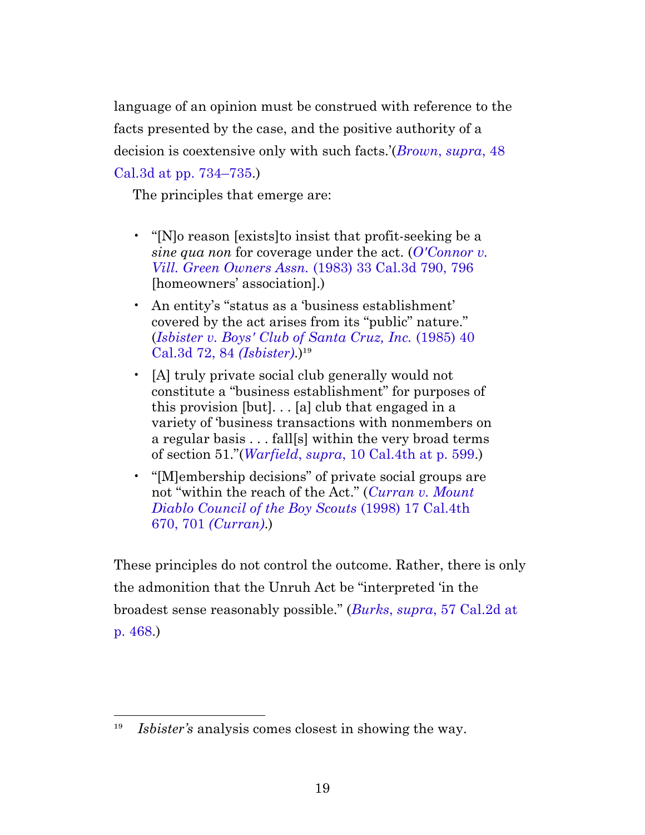language of an opinion must be construed with reference to the facts presented by the case, and the positive authority of a decision is coextensive only with such facts.'(*[Brown](https://casetext.com/case/brown-v-kelly-broadcasting-co#p734)*, *supra*, 48 [Cal.3d at pp. 734–735](https://casetext.com/case/brown-v-kelly-broadcasting-co#p734).)

The principles that emerge are:

- "[N]o reason [exists] to insist that profit-seeking be a *sine qua non* for coverage under the act. (*[O'Connor v.](https://casetext.com/case/oconnor-v-village-green-owners-assn#p796) Vill. Green Owners Assn.* [\(1983\) 33 Cal.3d 790, 796](https://casetext.com/case/oconnor-v-village-green-owners-assn#p796) [homeowners' association].)
- An entity's "status as a 'business establishment' covered by the act arises from its "public" nature." (*[Isbister v. Boys' Club of Santa Cruz, Inc.](https://casetext.com/case/isbister-v-boys-club-of-santa-cruz-inc#p84)* (1985) 40 [Cal.3d 72, 84](https://casetext.com/case/isbister-v-boys-club-of-santa-cruz-inc#p84) *(Isbister)*.)<sup>19</sup>
- [A] truly private social club generally would not constitute a "business establishment" for purposes of this provision  $[but]$ ...  $[a]$  club that engaged in a variety of 'business transactions with nonmembers on a regular basis . . . fall[s] within the very broad terms of section 51."(*Warfield*, *supra*[, 10 Cal.4th at p. 599.](https://casetext.com/case/warfield-v-peninsula-golf-country-club-3#p599))
- "[M]embership decisions" of private social groups are not "within the reach of the Act." (*[Curran v. Mount](https://casetext.com/case/curran-v-mount-diablo-council-of-the-boy-scouts-2#p701) [Diablo Council of the Boy Scouts](https://casetext.com/case/curran-v-mount-diablo-council-of-the-boy-scouts-2#p701)* (1998) 17 Cal.4th 670, 701 *[\(Curran\)](https://casetext.com/case/curran-v-mount-diablo-council-of-the-boy-scouts-2#p701)*.)

These principles do not control the outcome. Rather, there is only the admonition that the Unruh Act be "interpreted 'in the broadest sense reasonably possible." (*Burks*, *supra*[, 57 Cal.2d at](https://casetext.com/case/burks-v-poppy-construction-co#p468) [p. 468](https://casetext.com/case/burks-v-poppy-construction-co#p468).)

<sup>&</sup>lt;sup>19</sup> *Isbister's* analysis comes closest in showing the way.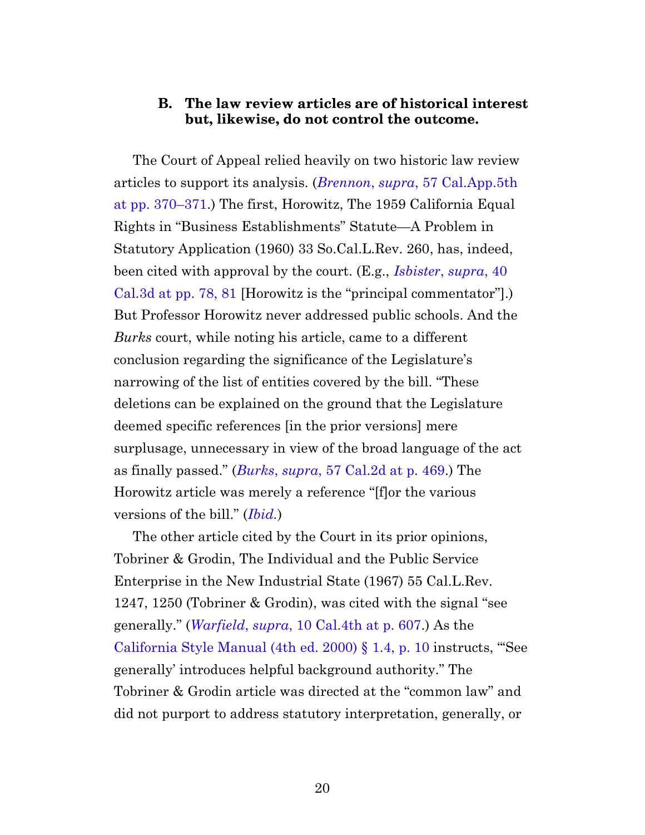#### **B. The law review articles are of historical interest but, likewise, do not control the outcome.**

<span id="page-19-0"></span>The Court of Appeal relied heavily on two historic law review articles to support its analysis. (*Brennon*, *supra*[, 57 Cal.App.5th](https://casetext.com/case/brennon-b-v-superior-court#p370) [at pp. 370–371.](https://casetext.com/case/brennon-b-v-superior-court#p370)) The first, Horowitz, The 1959 California Equal Rights in "Business Establishments" Statute—A Problem in Statutory Application (1960) 33 So.Cal.L.Rev. 260, has, indeed, been cited with approval by the court. (E.g., *[Isbister](https://casetext.com/case/isbister-v-boys-club-of-santa-cruz-inc#p78)*, *supra*, 40 [Cal.3d at pp. 78, 81](https://casetext.com/case/isbister-v-boys-club-of-santa-cruz-inc#p78) [Horowitz is the "principal commentator"].) But Professor Horowitz never addressed public schools. And the *Burks* court, while noting his article, came to a different conclusion regarding the significance of the Legislature's narrowing of the list of entities covered by the bill. "These deletions can be explained on the ground that the Legislature deemed specific references [in the prior versions] mere surplusage, unnecessary in view of the broad language of the act as finally passed." (*Burks*, *supra*[, 57 Cal.2d at p. 469](https://casetext.com/case/burks-v-poppy-construction-co#p469).) The Horowitz article was merely a reference "[f]or the various versions of the bill." (*[Ibid.](https://casetext.com/case/burks-v-poppy-construction-co#p469)*)

<span id="page-19-1"></span>The other article cited by the Court in its prior opinions, Tobriner & Grodin, The Individual and the Public Service Enterprise in the New Industrial State (1967) 55 Cal.L.Rev. 1247, 1250 (Tobriner & Grodin), was cited with the signal "see generally." (*Warfield*, *supra*[, 10 Cal.4th at p. 607](https://casetext.com/case/warfield-v-peninsula-golf-country-club-3#p607).) As the [California Style Manual \(4th ed. 2000\) §](http://www.sdap.org/downloads/Style-Manual.pdf) 1.4, p. 10 instructs, "'See generally' introduces helpful background authority." The Tobriner & Grodin article was directed at the "common law" and did not purport to address statutory interpretation, generally, or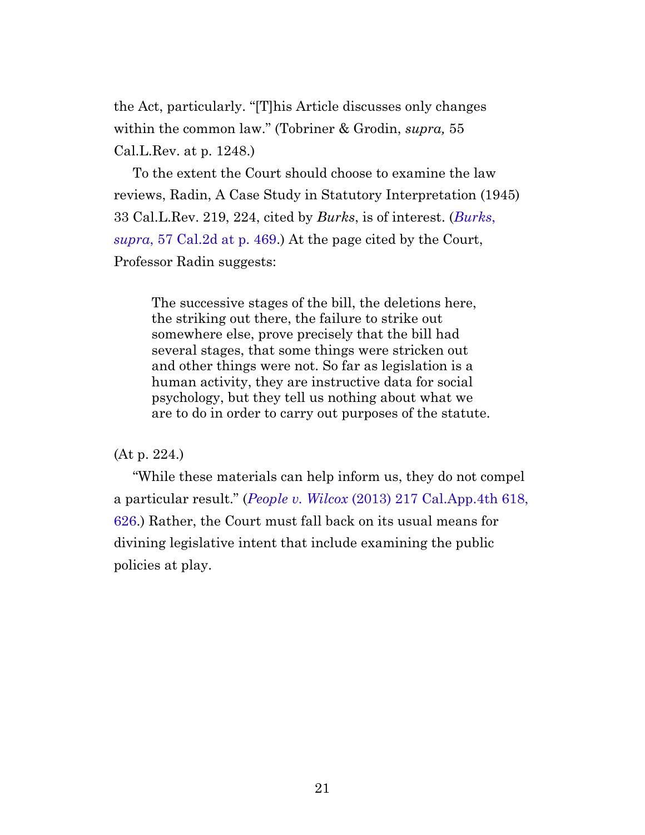the Act, particularly. "[T]his Article discusses only changes within the common law." (Tobriner & Grodin, *supra,* 55 Cal.L.Rev. at p. 1248.)

<span id="page-20-0"></span>To the extent the Court should choose to examine the law reviews, Radin, A Case Study in Statutory Interpretation (1945) 33 Cal.L.Rev. 219, 224, cited by *Burks*, is of interest. (*[Burks](https://casetext.com/case/burks-v-poppy-construction-co#p469)*, *supra*[, 57 Cal.2d at p. 469.](https://casetext.com/case/burks-v-poppy-construction-co#p469)) At the page cited by the Court, Professor Radin suggests:

The successive stages of the bill, the deletions here, the striking out there, the failure to strike out somewhere else, prove precisely that the bill had several stages, that some things were stricken out and other things were not. So far as legislation is a human activity, they are instructive data for social psychology, but they tell us nothing about what we are to do in order to carry out purposes of the statute.

(At p. 224.)

"While these materials can help inform us, they do not compel a particular result." (*People v. Wilcox* [\(2013\) 217 Cal.App.4th 618,](https://casetext.com/case/people-v-wilcox-73#p626) [626.](https://casetext.com/case/people-v-wilcox-73#p626)) Rather, the Court must fall back on its usual means for divining legislative intent that include examining the public policies at play.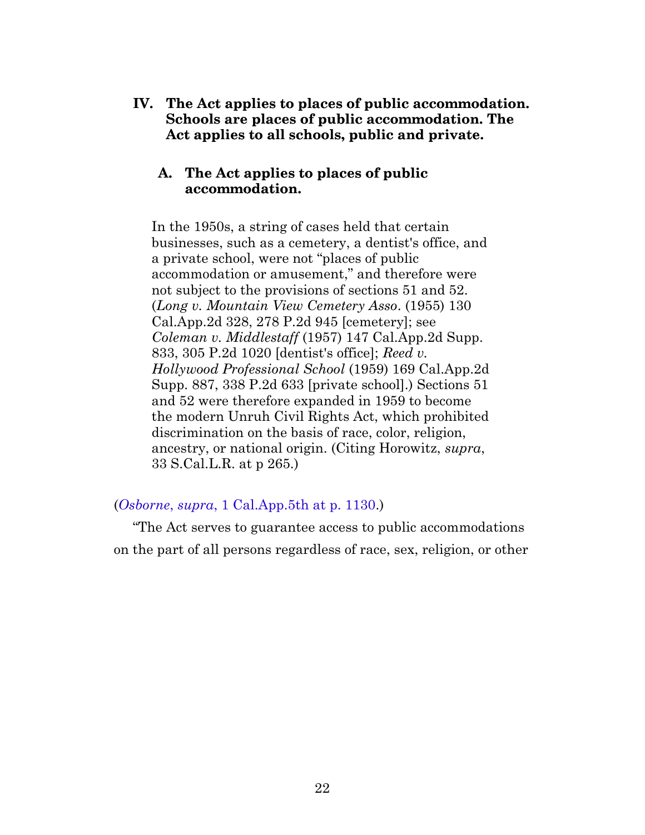<span id="page-21-1"></span><span id="page-21-0"></span>**IV. The Act applies to places of public accommodation. Schools are places of public accommodation. The Act applies to all schools, public and private.**

#### **A. The Act applies to places of public accommodation.**

In the 1950s, a string of cases held that certain businesses, such as a cemetery, a dentist's office, and a private school, were not "places of public accommodation or amusement," and therefore were not subject to the provisions of sections 51 and 52. (*Long v. Mountain View Cemetery Asso*. (1955) 130 Cal.App.2d 328, 278 P.2d 945 [cemetery]; see *Coleman v. Middlestaff* (1957) 147 Cal.App.2d Supp. 833, 305 P.2d 1020 [dentist's office]; *Reed v. Hollywood Professional School* (1959) 169 Cal.App.2d Supp. 887, 338 P.2d 633 [private school].) Sections 51 and 52 were therefore expanded in 1959 to become the modern Unruh Civil Rights Act, which prohibited discrimination on the basis of race, color, religion, ancestry, or national origin. (Citing Horowitz, *supra*, 33 S.Cal.L.R. at p 265.)

#### (*Osborne*, *supra*[, 1 Cal.App.5th at p. 1130.](https://casetext.com/case/osborne-v-yasmeh-1#p1130))

"The Act serves to guarantee access to public accommodations on the part of all persons regardless of race, sex, religion, or other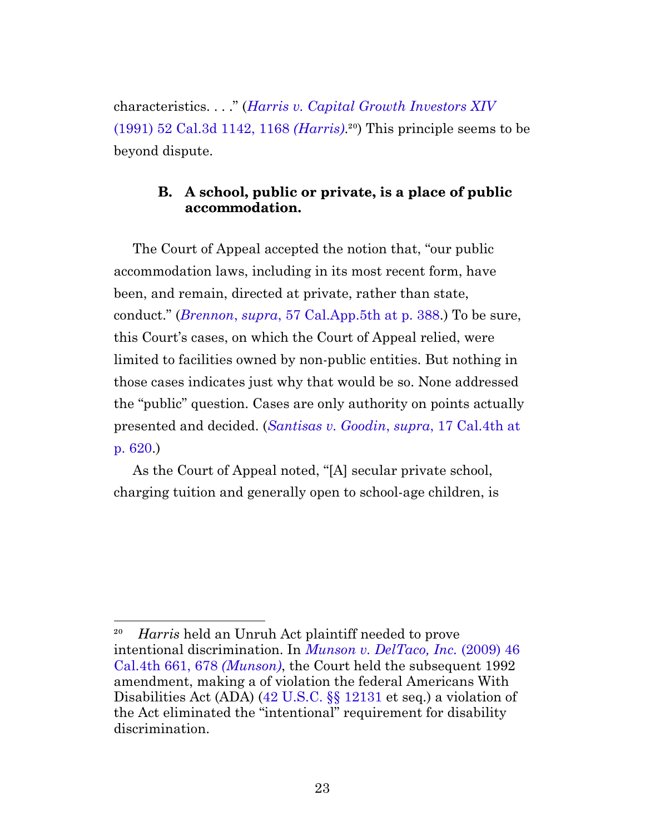characteristics. . . ." (*[Harris v. Capital Growth Investors XIV](https://casetext.com/case/harris-v-capital-growth-investors-xiv#p1168)* [\(1991\) 52 Cal.3d 1142, 1168](https://casetext.com/case/harris-v-capital-growth-investors-xiv#p1168) *(Harris)*.<sup>20</sup> This principle seems to be beyond dispute.

#### **B. A school, public or private, is a place of public accommodation.**

<span id="page-22-0"></span>The Court of Appeal accepted the notion that, "our public accommodation laws, including in its most recent form, have been, and remain, directed at private, rather than state, conduct." (*Brennon*, *supra*[, 57 Cal.App.5th at p. 388.](https://casetext.com/case/brennon-b-v-superior-court#p388)) To be sure, this Court's cases, on which the Court of Appeal relied, were limited to facilities owned by non-public entities. But nothing in those cases indicates just why that would be so. None addressed the "public" question. Cases are only authority on points actually presented and decided. (*[Santisas v. Goodin](https://casetext.com/case/santisas-v-goodin#p620)*, *supra*, 17 Cal.4th at [p. 620](https://casetext.com/case/santisas-v-goodin#p620).)

As the Court of Appeal noted, "[A] secular private school, charging tuition and generally open to school-age children, is

²⁰ *Harris* held an Unruh Act plaintiff needed to prove intentional discrimination. In *[Munson v. DelTaco, Inc.](https://casetext.com/case/munson-v-del-taco#p678)* (2009) 46 [Cal.4th 661, 678](https://casetext.com/case/munson-v-del-taco#p678) *(Munson)*, the Court held the subsequent 1992 amendment, making a of violation the federal Americans With Disabilities Act (ADA) ([42 U.S.C. §§](http://uscode.house.gov/view.xhtml?req=granuleid:USC-prelim-title42-section12131&num=0&edition=prelim) 12131 et seq.) a violation of the Act eliminated the "intentional" requirement for disability discrimination.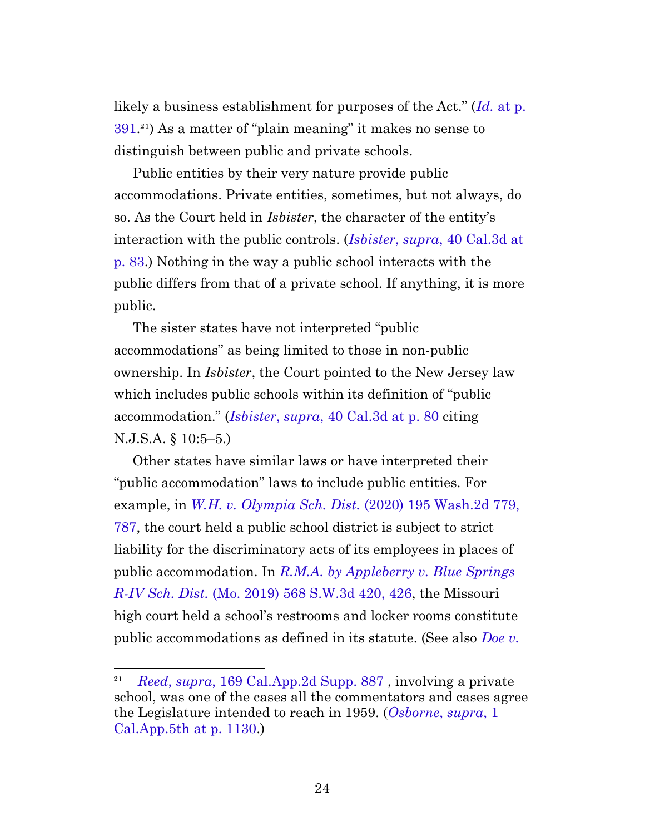likely a business establishment for purposes of the Act." (*Id.* [at p.](https://casetext.com/case/brennon-b-v-superior-court#p391)  $391.<sup>21</sup>$  $391.<sup>21</sup>$ ) As a matter of "plain meaning" it makes no sense to distinguish between public and private schools.

Public entities by their very nature provide public accommodations. Private entities, sometimes, but not always, do so. As the Court held in *Isbister*, the character of the entity's interaction with the public controls. (*Isbister*, *supra*[, 40 Cal.3d at](https://casetext.com/case/isbister-v-boys-club-of-santa-cruz-inc#p83) [p. 83](https://casetext.com/case/isbister-v-boys-club-of-santa-cruz-inc#p83).) Nothing in the way a public school interacts with the public differs from that of a private school. If anything, it is more public.

The sister states have not interpreted "public accommodations" as being limited to those in non-public ownership. In *Isbister*, the Court pointed to the New Jersey law which includes public schools within its definition of "public accommodation." (*Isbister*, *supra*[, 40 Cal.3d at p. 80](https://casetext.com/case/isbister-v-boys-club-of-santa-cruz-inc#p80) citing N.J.S.A. § 10:5–5.)

Other states have similar laws or have interpreted their "public accommodation" laws to include public entities. For example, in *[W.H. v. Olympia Sch. Dist.](https://casetext.com/case/wh-v-olympia-sch-dist-4#p787)* (2020) 195 Wash.2d 779, [787,](https://casetext.com/case/wh-v-olympia-sch-dist-4#p787) the court held a public school district is subject to strict liability for the discriminatory acts of its employees in places of public accommodation. In *[R.M.A. by Appleberry v. Blue Springs](https://casetext.com/case/v-blue-springs-r-iv-sch-dist-blue-springs-sch-dist-bd-of-educ-1#p426) R-IV Sch. Dist.* [\(Mo. 2019\) 568 S.W.3d 420, 426](https://casetext.com/case/v-blue-springs-r-iv-sch-dist-blue-springs-sch-dist-bd-of-educ-1#p426), the Missouri high court held a school's restrooms and locker rooms constitute public accommodations as defined in its statute. (See also *[Doe v.](https://casetext.com/case/doe-v-regl-sch-unit#p604)*

*Reed, supra,* 169 Cal.App.2d Supp. 887, involving a private school, was one of the cases all the commentators and cases agree the Legislature intended to reach in 1959. (*[Osborne](https://casetext.com/case/osborne-v-yasmeh-1#p1130)*, *supra*, 1 [Cal.App.5th at p. 1130.](https://casetext.com/case/osborne-v-yasmeh-1#p1130))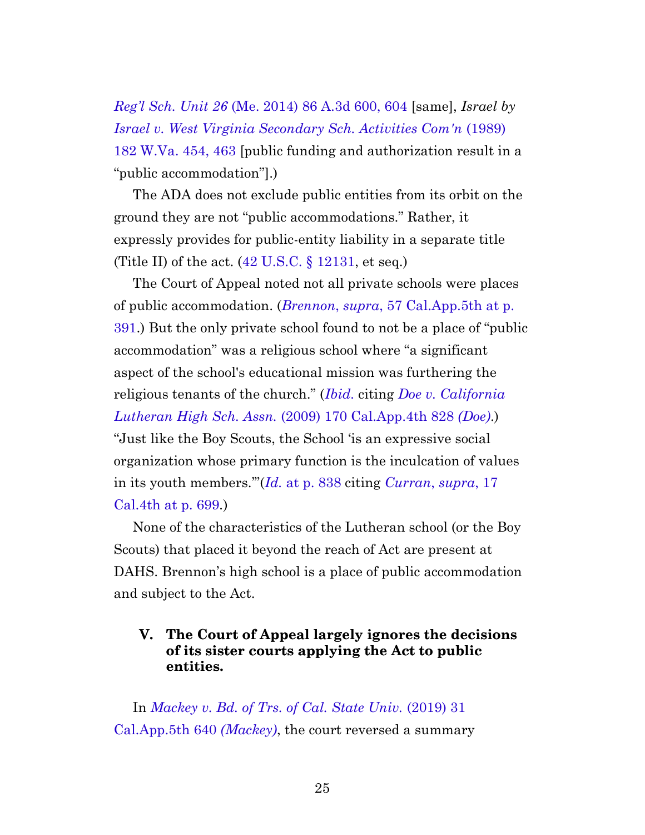*Reg'l Sch. Unit 26* [\(Me. 2014\) 86 A.3d 600, 604](https://casetext.com/case/doe-v-regl-sch-unit#p604) [same], *Israel by [Israel v. West Virginia Secondary Sch. Activities Com'n](https://casetext.com/case/israel-v-secondary-schools-act-comn#p463)* (1989) [182 W.Va. 454, 463](https://casetext.com/case/israel-v-secondary-schools-act-comn#p463) [public funding and authorization result in a "public accommodation"].)

The ADA does not exclude public entities from its orbit on the ground they are not "public accommodations." Rather, it expressly provides for public-entity liability in a separate title (Title II) of the act.  $(42 \text{ U.S.C.} \S 12131, \text{ et seq.})$ 

The Court of Appeal noted not all private schools were places of public accommodation. (*Brennon*, *supra*[, 57 Cal.App.5th at p.](https://casetext.com/case/brennon-b-v-superior-court#p391) [391.](https://casetext.com/case/brennon-b-v-superior-court#p391)) But the only private school found to not be a place of "public accommodation" was a religious school where "a significant aspect of the school's educational mission was furthering the religious tenants of the church." (*[Ibid.](https://casetext.com/case/brennon-b-v-superior-court#p391)* citing *[Doe v. California](https://casetext.com/case/doe-v-ca-lutheran-high-school) Lutheran High Sch. Assn.* [\(2009\) 170 Cal.App.4th 828](https://casetext.com/case/doe-v-ca-lutheran-high-school) *(Doe)*.) "Just like the Boy Scouts, the School 'is an expressive social organization whose primary function is the inculcation of values in its youth members.'"(*Id.* [at p. 838](https://casetext.com/case/doe-v-ca-lutheran-high-school#p838) citing *[Curran](https://casetext.com/case/curran-v-mount-diablo-council-of-the-boy-scouts-2#p699)*, *supra*, 17 [Cal.4th at p. 699](https://casetext.com/case/curran-v-mount-diablo-council-of-the-boy-scouts-2#p699)*.*)

None of the characteristics of the Lutheran school (or the Boy Scouts) that placed it beyond the reach of Act are present at DAHS. Brennon's high school is a place of public accommodation and subject to the Act.

#### **V. The Court of Appeal largely ignores the decisions of its sister courts applying the Act to public entities.**

<span id="page-24-0"></span>In *[Mackey v. Bd. of Trs. of Cal. State Univ.](https://casetext.com/case/mackey-v-bd-of-trs-of-the-cal-state-univ)* (2019) 31 [Cal.App.5th 640](https://casetext.com/case/mackey-v-bd-of-trs-of-the-cal-state-univ) *(Mackey)*, the court reversed a summary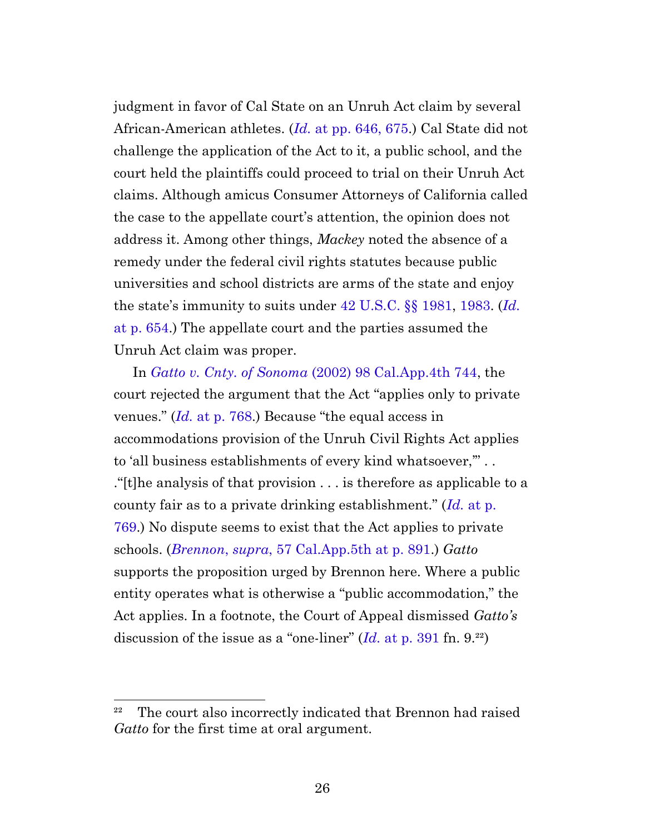judgment in favor of Cal State on an Unruh Act claim by several African-American athletes. (*Id.* [at pp. 646, 675.](https://casetext.com/case/mackey-v-bd-of-trs-of-the-cal-state-univ#p646)) Cal State did not challenge the application of the Act to it, a public school, and the court held the plaintiffs could proceed to trial on their Unruh Act claims. Although amicus Consumer Attorneys of California called the case to the appellate court's attention, the opinion does not address it. Among other things, *Mackey* noted the absence of a remedy under the federal civil rights statutes because public universities and school districts are arms of the state and enjoy the state's immunity to suits under [42 U.S.C. §§](http://uscode.house.gov/view.xhtml?req=granuleid:USC-prelim-title42-section1981&num=0&edition=prelim) 1981, [1983.](http://uscode.house.gov/view.xhtml?req=granuleid:USC-prelim-title42-section1983&num=0&edition=prelim) (*[Id.](https://casetext.com/case/mackey-v-bd-of-trs-of-the-cal-state-univ#p654)* [at p. 654](https://casetext.com/case/mackey-v-bd-of-trs-of-the-cal-state-univ#p654).) The appellate court and the parties assumed the Unruh Act claim was proper.

In *Gatto v. Cnty. of Sonoma* [\(2002\) 98 Cal.App.4th 744](https://casetext.com/case/gatto-v-county-of-sonoma), the court rejected the argument that the Act "applies only to private venues." (*Id.* [at p. 768](https://casetext.com/case/gatto-v-county-of-sonoma#p768).) Because "the equal access in accommodations provision of the Unruh Civil Rights Act applies to 'all business establishments of every kind whatsoever,'" . . ."[t]he analysis of that provision . . . is therefore as applicable to a county fair as to a private drinking establishment." (*Id.* [at p.](https://casetext.com/case/gatto-v-county-of-sonoma#p769) [769.](https://casetext.com/case/gatto-v-county-of-sonoma#p769)) No dispute seems to exist that the Act applies to private schools. (*Brennon*, *supra*[, 57 Cal.App.5th at p. 891.](https://casetext.com/case/brennon-b-v-superior-court#p891)) *Gatto* supports the proposition urged by Brennon here. Where a public entity operates what is otherwise a "public accommodation," the Act applies. In a footnote, the Court of Appeal dismissed *Gatto's* discussion of the issue as a "one-liner" (*Id.* [at p. 391](https://casetext.com/case/brennon-b-v-superior-court#p391) fn. 9.²²)

<sup>&</sup>lt;sup>22</sup> The court also incorrectly indicated that Brennon had raised *Gatto* for the first time at oral argument.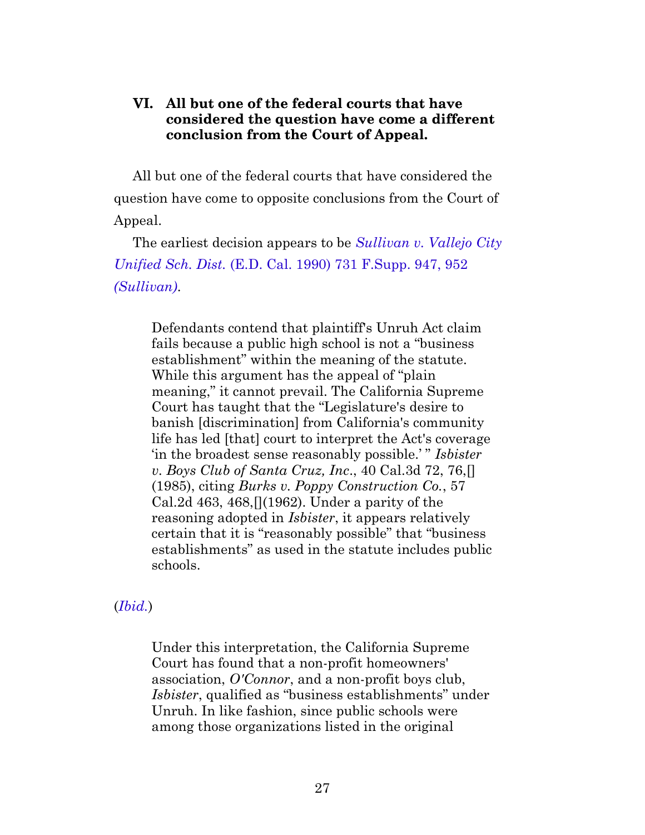#### <span id="page-26-0"></span>**VI. All but one of the federal courts that have considered the question have come a different conclusion from the Court of Appeal.**

All but one of the federal courts that have considered the question have come to opposite conclusions from the Court of Appeal.

The earliest decision appears to be *[Sullivan v. Vallejo City](https://casetext.com/case/sullivan-v-vallejo-city-unified-school#p952) Unified Sch. Dist.* [\(E.D. Cal. 1990\) 731 F.Supp. 947, 952](https://casetext.com/case/sullivan-v-vallejo-city-unified-school#p952) *[\(Sullivan\)](https://casetext.com/case/sullivan-v-vallejo-city-unified-school#p952)*.

Defendants contend that plaintiff's Unruh Act claim fails because a public high school is not a "business establishment" within the meaning of the statute. While this argument has the appeal of "plain meaning," it cannot prevail. The California Supreme Court has taught that the "Legislature's desire to banish [discrimination] from California's community life has led [that] court to interpret the Act's coverage 'in the broadest sense reasonably possible.' " *Isbister v. Boys Club of Santa Cruz, Inc*., 40 Cal.3d 72, 76,[] (1985), citing *Burks v. Poppy Construction Co.*, 57 Cal.2d 463, 468,  $(1962)$ . Under a parity of the reasoning adopted in *Isbister*, it appears relatively certain that it is "reasonably possible" that "business establishments" as used in the statute includes public schools.

(*[Ibid.](https://casetext.com/case/sullivan-v-vallejo-city-unified-school#p952)*)

Under this interpretation, the California Supreme Court has found that a non-profit homeowners' association, *O'Connor*, and a non-profit boys club, *Isbister*, qualified as "business establishments" under Unruh. In like fashion, since public schools were among those organizations listed in the original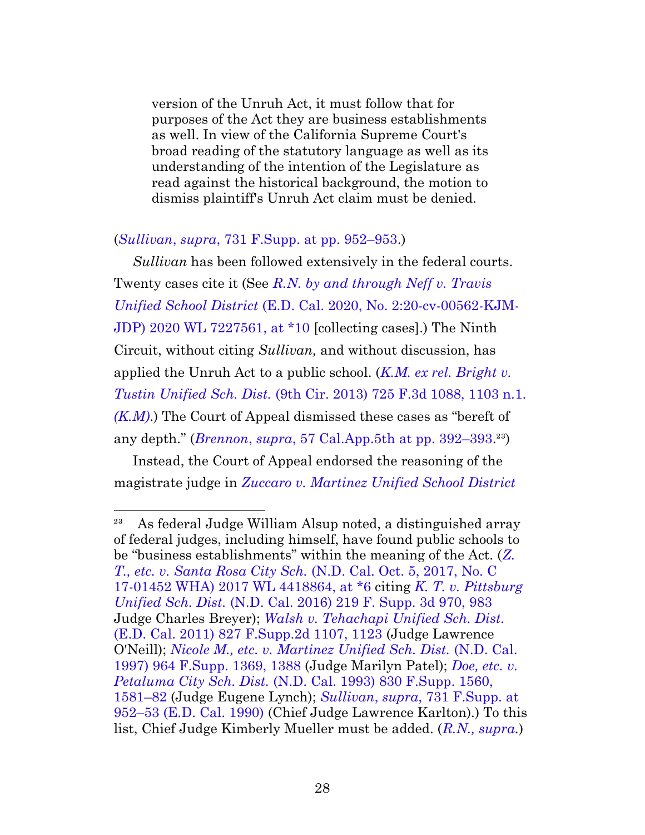version of the Unruh Act, it must follow that for purposes of the Act they are business establishments as well. In view of the California Supreme Court's broad reading of the statutory language as well as its understanding of the intention of the Legislature as read against the historical background, the motion to dismiss plaintiff's Unruh Act claim must be denied.

#### (*Sullivan*, *supra*[, 731 F.Supp. at pp. 952–953](https://casetext.com/case/sullivan-v-vallejo-city-unified-school#p952).)

*Sullivan* has been followed extensively in the federal courts. Twenty cases cite it (See *[R.N. by and through Neff v. Travis](https://www.westlaw.com/Document/I29e1dcc039f911ebbdb8c38eefe7fceb/View/FullText.html?transitionType=Default&contextData=(sc.Default)&VR=3.0&RS=cblt1.0) Unified School District* [\(E.D. Cal. 2020, No. 2:20-cv-00562-KJM-](https://www.westlaw.com/Document/I29e1dcc039f911ebbdb8c38eefe7fceb/View/FullText.html?transitionType=Default&contextData=(sc.Default)&VR=3.0&RS=cblt1.0)[JDP\) 2020 WL 7227561, at \\*10](https://www.westlaw.com/Document/I29e1dcc039f911ebbdb8c38eefe7fceb/View/FullText.html?transitionType=Default&contextData=(sc.Default)&VR=3.0&RS=cblt1.0) [collecting cases].) The Ninth Circuit, without citing *Sullivan,* and without discussion, has applied the Unruh Act to a public school. (*[K.M. ex rel. Bright v.](https://casetext.com/case/km-v-tustin-unified-sch-dist#p1103) Tustin Unified Sch. Dist.* [\(9th Cir. 2013\) 725 F.3d 1088, 1103 n.1.](https://casetext.com/case/km-v-tustin-unified-sch-dist#p1103) *[\(K.M\)](https://casetext.com/case/km-v-tustin-unified-sch-dist#p1103)*.) The Court of Appeal dismissed these cases as "bereft of any depth." (*Brennon*, *supra*[, 57 Cal.App.5th at pp. 392–393.](https://casetext.com/case/brennon-b-v-superior-court#p392)²³)

Instead, the Court of Appeal endorsed the reasoning of the magistrate judge in *[Zuccaro v. Martinez Unified School District](https://www.westlaw.com/Document/I218900c0005f11e8b565bb5dd3180177/View/FullText.html?transitionType=Default&contextData=(sc.Default)&VR=3.0&RS=cblt1.0)*

<sup>&</sup>lt;sup>23</sup> As federal Judge William Alsup noted, a distinguished array of federal judges, including himself, have found public schools to be "business establishments" within the meaning of the Act. (*[Z.](https://www.westlaw.com/Document/Iaa690e80aa6511e7b6bbb10aaf299bf2/View/FullText.html?transitionType=Default&contextData=(sc.Default)&VR=3.0&RS=cblt1.0) [T., etc. v. Santa Rosa City Sch.](https://www.westlaw.com/Document/Iaa690e80aa6511e7b6bbb10aaf299bf2/View/FullText.html?transitionType=Default&contextData=(sc.Default)&VR=3.0&RS=cblt1.0)* (N.D. Cal. Oct. 5, 2017, No. C [17-01452 WHA\) 2017 WL 4418864, at \\*6](https://www.westlaw.com/Document/Iaa690e80aa6511e7b6bbb10aaf299bf2/View/FullText.html?transitionType=Default&contextData=(sc.Default)&VR=3.0&RS=cblt1.0) citing *[K. T. v. Pittsburg](https://casetext.com/case/kt-v-pittsburg-unified-sch-dist#p983) Unified Sch. Dist.* [\(N.D. Cal. 2016\) 219 F. Supp. 3d 970, 983](https://casetext.com/case/kt-v-pittsburg-unified-sch-dist#p983) Judge Charles Breyer); *[Walsh v. Tehachapi Unified Sch. Dist.](https://casetext.com/case/walsh-v-tehachapi-unified-sch-dist#p1123)* [\(E.D. Cal. 2011\) 827 F.Supp.2d 1107, 1123](https://casetext.com/case/walsh-v-tehachapi-unified-sch-dist#p1123) (Judge Lawrence O'Neill); *[Nicole M., etc. v. Martinez Unified Sch. Dist.](https://casetext.com/case/nicole-m-v-martinez-unified-sch-dist#p1388)* (N.D. Cal. [1997\) 964 F.Supp. 1369, 1388](https://casetext.com/case/nicole-m-v-martinez-unified-sch-dist#p1388) (Judge Marilyn Patel); *[Doe, etc. v.](https://casetext.com/case/doe-v-petaluma-city-school-dist#p1581) Petaluma City Sch. Dist.* [\(N.D. Cal. 1993\) 830 F.Supp. 1560,](https://casetext.com/case/doe-v-petaluma-city-school-dist#p1581) [1581–82](https://casetext.com/case/doe-v-petaluma-city-school-dist#p1581) (Judge Eugene Lynch); *Sullivan*, *supra*[, 731 F.Supp. at](https://casetext.com/case/sullivan-v-vallejo-city-unified-school#p952) [952–53 \(E.D. Cal. 1990\)](https://casetext.com/case/sullivan-v-vallejo-city-unified-school#p952) (Chief Judge Lawrence Karlton).) To this list, Chief Judge Kimberly Mueller must be added. (*[R.N., supra](https://www.westlaw.com/Document/I29e1dcc039f911ebbdb8c38eefe7fceb/View/FullText.html?transitionType=Default&contextData=(sc.Default)&VR=3.0&RS=cblt1.0).*)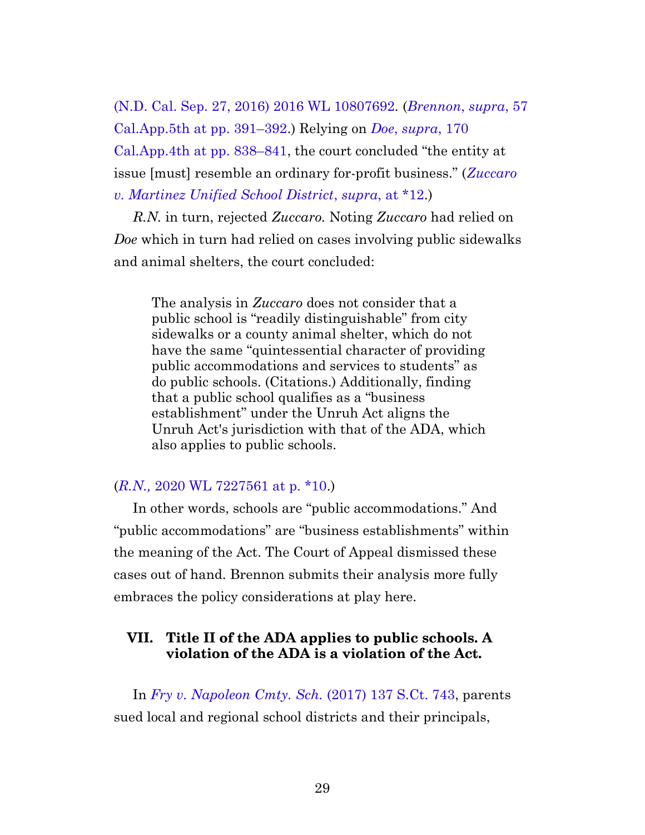[\(N.D. Cal. Sep. 27, 2016\) 2016 WL 10807692](https://www.westlaw.com/Document/I218900c0005f11e8b565bb5dd3180177/View/FullText.html?transitionType=Default&contextData=(sc.Default)&VR=3.0&RS=cblt1.0)*.* (*[Brennon](https://casetext.com/case/brennon-b-v-superior-court#p391)*, *supra*, 57 [Cal.App.5th at pp. 391–392.](https://casetext.com/case/brennon-b-v-superior-court#p391)) Relying on *Doe*, *[supra](https://casetext.com/case/doe-v-ca-lutheran-high-school#p838)*, 170 [Cal.App.4th at pp. 838–841,](https://casetext.com/case/doe-v-ca-lutheran-high-school#p838) the court concluded "the entity at issue [must] resemble an ordinary for-profit business." (*[Zuccaro](https://www.westlaw.com/Document/I218900c0005f11e8b565bb5dd3180177/View/FullText.html?transitionType=Default&contextData=(sc.Default)&VR=3.0&RS=cblt1.0) [v. Martinez Unified School District](https://www.westlaw.com/Document/I218900c0005f11e8b565bb5dd3180177/View/FullText.html?transitionType=Default&contextData=(sc.Default)&VR=3.0&RS=cblt1.0)*, *supra*, at \*12.)

*R.N.* in turn, rejected *Zuccaro.* Noting *Zuccaro* had relied on *Doe* which in turn had relied on cases involving public sidewalks and animal shelters, the court concluded:

The analysis in *Zuccaro* does not consider that a public school is "readily distinguishable" from city sidewalks or a county animal shelter, which do not have the same "quintessential character of providing public accommodations and services to students" as do public schools. (Citations.) Additionally, finding that a public school qualifies as a "business establishment" under the Unruh Act aligns the Unruh Act's jurisdiction with that of the ADA, which also applies to public schools.

#### (*R.N.,* [2020 WL 7227561 at p. \\*10](https://www.westlaw.com/Document/I29e1dcc039f911ebbdb8c38eefe7fceb/View/FullText.html?transitionType=Default&contextData=(sc.Default)&VR=3.0&RS=cblt1.0).)

In other words, schools are "public accommodations." And "public accommodations" are "business establishments" within the meaning of the Act. The Court of Appeal dismissed these cases out of hand. Brennon submits their analysis more fully embraces the policy considerations at play here.

#### <span id="page-28-0"></span>**VII. Title II of the ADA applies to public schools. A violation of the ADA is a violation of the Act.**

In *[Fry v. Napoleon Cmty. Sch.](https://casetext.com/case/fry-v-napoleon-cmty-sch-1)* (2017) 137 S.Ct. 743, parents sued local and regional school districts and their principals,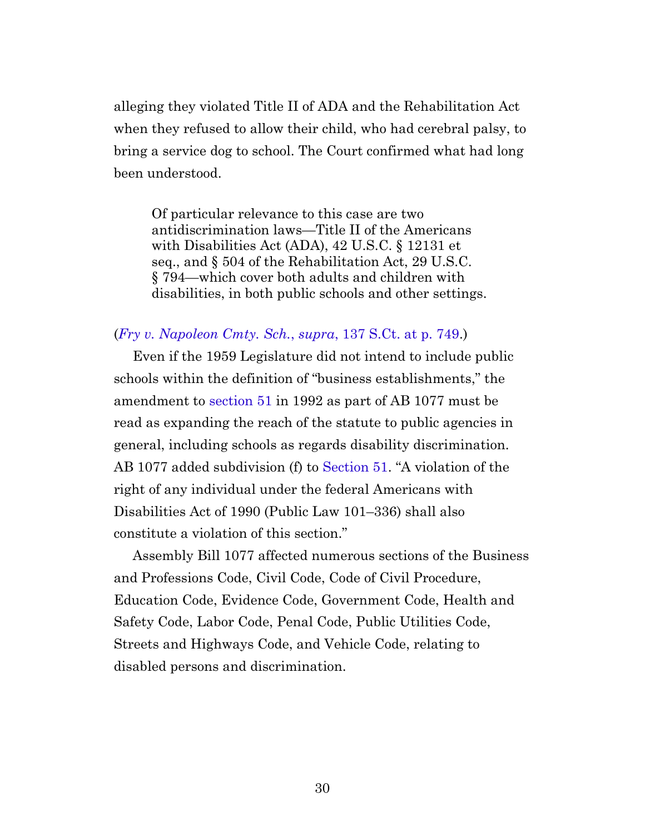alleging they violated Title II of ADA and the Rehabilitation Act when they refused to allow their child, who had cerebral palsy, to bring a service dog to school. The Court confirmed what had long been understood.

Of particular relevance to this case are two antidiscrimination laws—Title II of the Americans with Disabilities Act (ADA), 42 U.S.C. § 12131 et seq., and § 504 of the Rehabilitation Act, 29 U.S.C. § 794—which cover both adults and children with disabilities, in both public schools and other settings.

#### (*[Fry v. Napoleon Cmty. Sch.](https://casetext.com/case/fry-v-napoleon-cmty-sch-1#p749)*, *supra*, 137 S.Ct. at p. 749.)

Even if the 1959 Legislature did not intend to include public schools within the definition of "business establishments," the amendment to [section 51](https://leginfo.legislature.ca.gov/faces/codes_displaySection.xhtml?sectionNum=51.&lawCode=CIV) in 1992 as part of AB 1077 must be read as expanding the reach of the statute to public agencies in general, including schools as regards disability discrimination. AB 1077 added subdivision (f) to [Section 51.](https://leginfo.legislature.ca.gov/faces/codes_displaySection.xhtml?sectionNum=51.&lawCode=CIV) "A violation of the right of any individual under the federal Americans with Disabilities Act of 1990 (Public Law 101–336) shall also constitute a violation of this section."

Assembly Bill 1077 affected numerous sections of the Business and Professions Code, Civil Code, Code of Civil Procedure, Education Code, Evidence Code, Government Code, Health and Safety Code, Labor Code, Penal Code, Public Utilities Code, Streets and Highways Code, and Vehicle Code, relating to disabled persons and discrimination.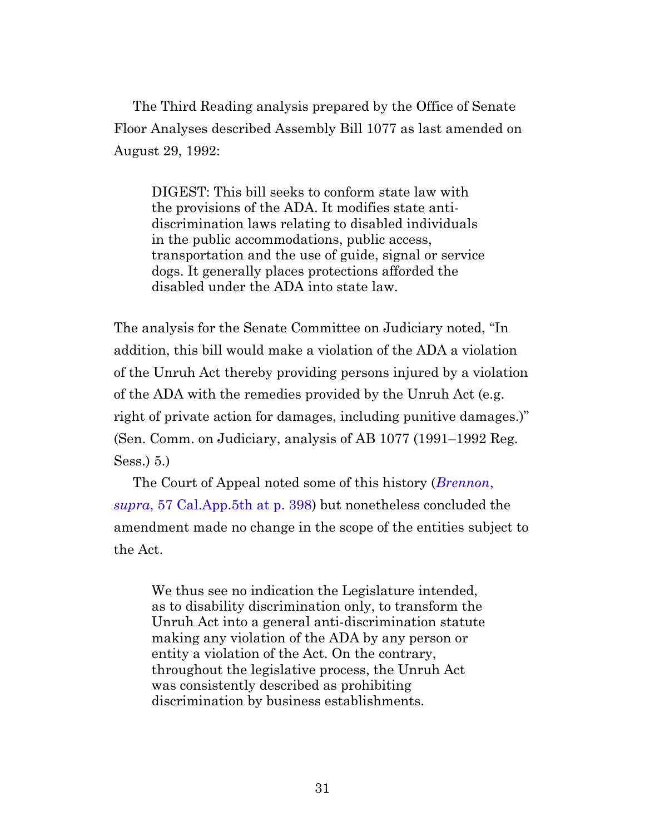The Third Reading analysis prepared by the Office of Senate Floor Analyses described Assembly Bill 1077 as last amended on August 29, 1992:

DIGEST: This bill seeks to conform state law with the provisions of the ADA. It modifies state antidiscrimination laws relating to disabled individuals in the public accommodations, public access, transportation and the use of guide, signal or service dogs. It generally places protections afforded the disabled under the ADA into state law.

The analysis for the Senate Committee on Judiciary noted, "In addition, this bill would make a violation of the ADA a violation of the Unruh Act thereby providing persons injured by a violation of the ADA with the remedies provided by the Unruh Act (e.g. right of private action for damages, including punitive damages.)" (Sen. Comm. on Judiciary, analysis of AB 1077 (1991–1992 Reg. Sess.) 5.)

<span id="page-30-0"></span>The Court of Appeal noted some of this history (*[Brennon](https://casetext.com/case/brennon-b-v-superior-court#p398)*, *supra*[, 57 Cal.App.5th at p. 398](https://casetext.com/case/brennon-b-v-superior-court#p398)) but nonetheless concluded the amendment made no change in the scope of the entities subject to the Act.

We thus see no indication the Legislature intended, as to disability discrimination only, to transform the Unruh Act into a general anti-discrimination statute making any violation of the ADA by any person or entity a violation of the Act. On the contrary, throughout the legislative process, the Unruh Act was consistently described as prohibiting discrimination by business establishments.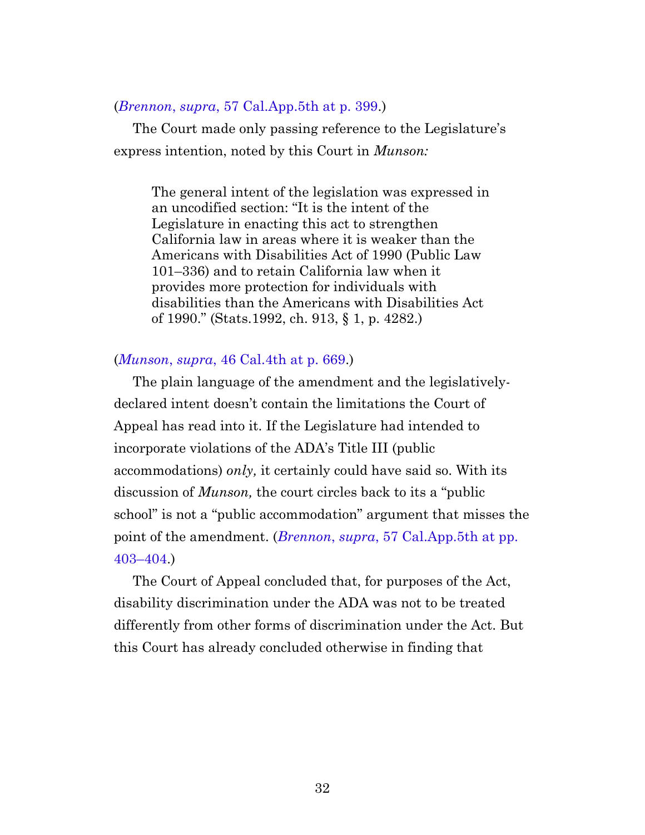#### (*Brennon*, *supra*[, 57 Cal.App.5th at p. 399.](https://casetext.com/case/brennon-b-v-superior-court#p399))

The Court made only passing reference to the Legislature's express intention, noted by this Court in *Munson:*

The general intent of the legislation was expressed in an uncodified section: "It is the intent of the Legislature in enacting this act to strengthen California law in areas where it is weaker than the Americans with Disabilities Act of 1990 (Public Law 101–336) and to retain California law when it provides more protection for individuals with disabilities than the Americans with Disabilities Act of 1990." (Stats.1992, ch. 913, § 1, p. 4282.)

#### (*Munson*, *supra*[, 46 Cal.4th at p. 669](https://casetext.com/case/munson-v-del-taco#p669).)

The plain language of the amendment and the legislativelydeclared intent doesn't contain the limitations the Court of Appeal has read into it. If the Legislature had intended to incorporate violations of the ADA's Title III (public accommodations) *only,* it certainly could have said so. With its discussion of *Munson,* the court circles back to its a "public school" is not a "public accommodation" argument that misses the point of the amendment. (*Brennon*, *supra*[, 57 Cal.App.5th at pp.](https://casetext.com/case/brennon-b-v-superior-court#p403) [403–404.](https://casetext.com/case/brennon-b-v-superior-court#p403))

The Court of Appeal concluded that, for purposes of the Act, disability discrimination under the ADA was not to be treated differently from other forms of discrimination under the Act. But this Court has already concluded otherwise in finding that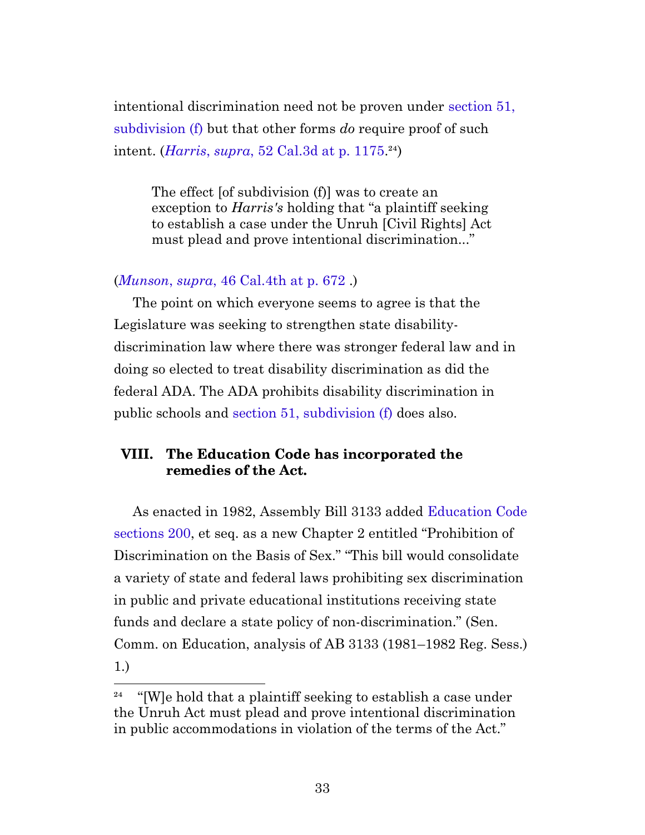intentional discrimination need not be proven under [section 51,](https://leginfo.legislature.ca.gov/faces/codes_displaySection.xhtml?sectionNum=51.&lawCode=CIV) [subdivision \(f\)](https://leginfo.legislature.ca.gov/faces/codes_displaySection.xhtml?sectionNum=51.&lawCode=CIV) but that other forms *do* require proof of such intent. *(Harris, supra,* 52 Cal.3d at p. 1175.<sup>24</sup>)

The effect [of subdivision (f)] was to create an exception to *Harris's* holding that "a plaintiff seeking to establish a case under the Unruh [Civil Rights] Act must plead and prove intentional discrimination..."

#### (*Munson*, *supra*[, 46 Cal.4th at p. 672](https://casetext.com/case/munson-v-del-taco#p672) .)

The point on which everyone seems to agree is that the Legislature was seeking to strengthen state disabilitydiscrimination law where there was stronger federal law and in doing so elected to treat disability discrimination as did the federal ADA. The ADA prohibits disability discrimination in public schools and [section 51, subdivision \(f\)](https://leginfo.legislature.ca.gov/faces/codes_displaySection.xhtml?sectionNum=51.&lawCode=CIV) does also.

#### <span id="page-32-0"></span>**VIII. The Education Code has incorporated the remedies of the Act.**

As enacted in 1982, Assembly Bill 3133 added [Education Code](https://leginfo.legislature.ca.gov/faces/codes_displaySection.xhtml?sectionNum=200.&lawCode=EDC) [sections 200](https://leginfo.legislature.ca.gov/faces/codes_displaySection.xhtml?sectionNum=200.&lawCode=EDC), et seq. as a new Chapter 2 entitled "Prohibition of Discrimination on the Basis of Sex." "This bill would consolidate a variety of state and federal laws prohibiting sex discrimination in public and private educational institutions receiving state funds and declare a state policy of non-discrimination." (Sen. Comm. on Education, analysis of AB 3133 (1981–1982 Reg. Sess.) 1.)

<span id="page-32-1"></span> $^{24}$  "[W]e hold that a plaintiff seeking to establish a case under the Unruh Act must plead and prove intentional discrimination in public accommodations in violation of the terms of the Act."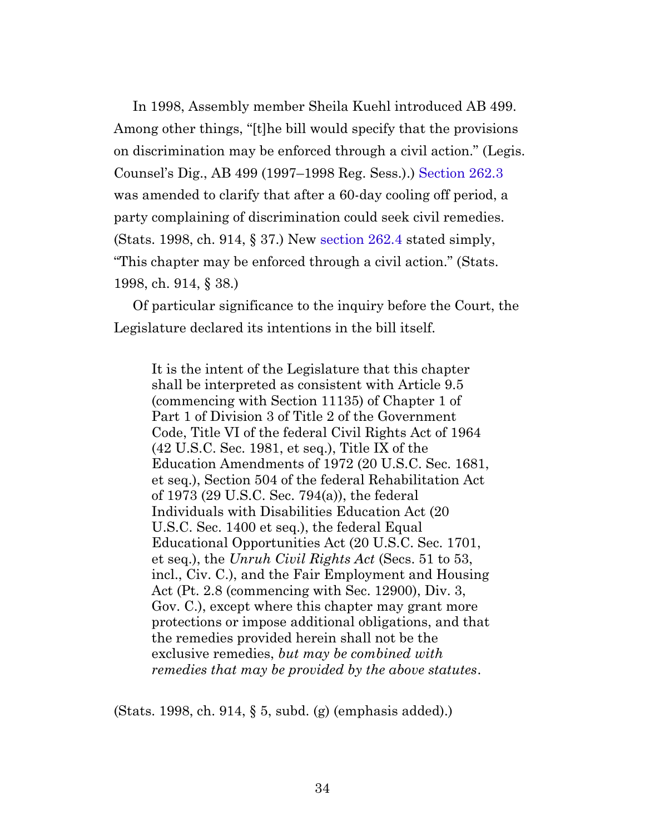<span id="page-33-0"></span>In 1998, Assembly member Sheila Kuehl introduced AB 499. Among other things, "[t]he bill would specify that the provisions on discrimination may be enforced through a civil action." (Legis. Counsel's Dig., AB 499 (1997–1998 Reg. Sess.).) [Section 262.3](https://leginfo.legislature.ca.gov/faces/codes_displaySection.xhtml?sectionNum=262.3.&lawCode=EDC) was amended to clarify that after a 60-day cooling off period, a party complaining of discrimination could seek civil remedies. (Stats. 1998, ch. 914, § 37.) New [section 262.4](https://leginfo.legislature.ca.gov/faces/codes_displaySection.xhtml?sectionNum=262.4.&lawCode=EDC) stated simply, "This chapter may be enforced through a civil action." (Stats. 1998, ch. 914, § 38.)

<span id="page-33-2"></span><span id="page-33-1"></span>Of particular significance to the inquiry before the Court, the Legislature declared its intentions in the bill itself.

It is the intent of the Legislature that this chapter shall be interpreted as consistent with Article 9.5 (commencing with Section 11135) of Chapter 1 of Part 1 of Division 3 of Title 2 of the Government Code, Title VI of the federal Civil Rights Act of 1964 (42 U.S.C. Sec. 1981, et seq.), Title IX of the Education Amendments of 1972 (20 U.S.C. Sec. 1681, et seq.), Section 504 of the federal Rehabilitation Act of 1973 (29 U.S.C. Sec. 794(a)), the federal Individuals with Disabilities Education Act (20 U.S.C. Sec. 1400 et seq.), the federal Equal Educational Opportunities Act (20 U.S.C. Sec. 1701, et seq.), the *Unruh Civil Rights Act* (Secs. 51 to 53, incl., Civ. C.), and the Fair Employment and Housing Act (Pt. 2.8 (commencing with Sec. 12900), Div. 3, Gov. C.), except where this chapter may grant more protections or impose additional obligations, and that the remedies provided herein shall not be the exclusive remedies, *but may be combined with remedies that may be provided by the above statutes*.

(Stats. 1998, ch. 914, § 5, subd. (g) (emphasis added).)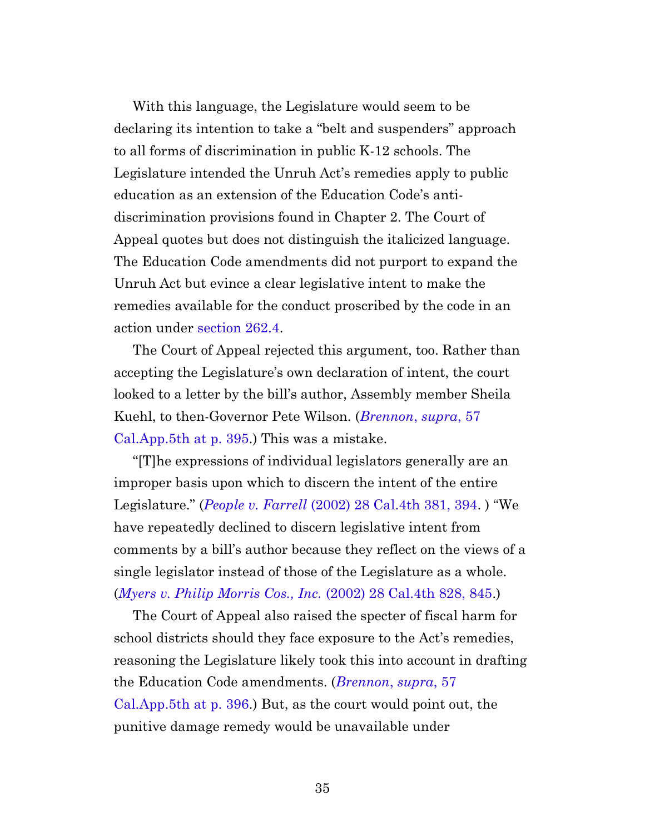With this language, the Legislature would seem to be declaring its intention to take a "belt and suspenders" approach to all forms of discrimination in public K-12 schools. The Legislature intended the Unruh Act's remedies apply to public education as an extension of the Education Code's antidiscrimination provisions found in Chapter 2. The Court of Appeal quotes but does not distinguish the italicized language. The Education Code amendments did not purport to expand the Unruh Act but evince a clear legislative intent to make the remedies available for the conduct proscribed by the code in an action under [section 262.4](https://leginfo.legislature.ca.gov/faces/codes_displaySection.xhtml?sectionNum=262.4.&lawCode=EDC).

The Court of Appeal rejected this argument, too. Rather than accepting the Legislature's own declaration of intent, the court looked to a letter by the bill's author, Assembly member Sheila Kuehl, to then-Governor Pete Wilson. (*[Brennon](https://casetext.com/case/brennon-b-v-superior-court#p395)*, *supra*, 57 [Cal.App.5th at p. 395](https://casetext.com/case/brennon-b-v-superior-court#p395).) This was a mistake.

"[T]he expressions of individual legislators generally are an improper basis upon which to discern the intent of the entire Legislature." (*People v. Farrell* [\(2002\) 28 Cal.4th 381, 394](https://casetext.com/case/people-v-farell-2#p394). ) "We have repeatedly declined to discern legislative intent from comments by a bill's author because they reflect on the views of a single legislator instead of those of the Legislature as a whole. (*[Myers v. Philip Morris Cos., Inc.](https://casetext.com/case/myers-v-phillip-morris-co#p845)* (2002) 28 Cal.4th 828, 845.)

The Court of Appeal also raised the specter of fiscal harm for school districts should they face exposure to the Act's remedies, reasoning the Legislature likely took this into account in drafting the Education Code amendments. (*[Brennon](https://casetext.com/case/brennon-b-v-superior-court#p396)*, *supra*, 57 [Cal.App.5th at p. 396](https://casetext.com/case/brennon-b-v-superior-court#p396).) But, as the court would point out, the punitive damage remedy would be unavailable under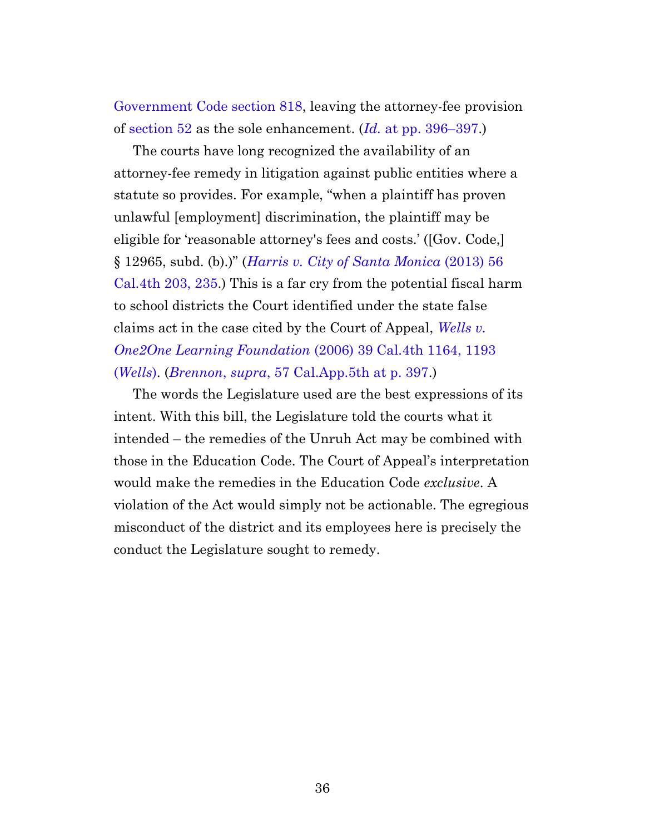[Government Code section 818](https://leginfo.legislature.ca.gov/faces/codes_displaySection.xhtml?sectionNum=818.&lawCode=GOV), leaving the attorney-fee provision of [section 52](https://leginfo.legislature.ca.gov/faces/codes_displaySection.xhtml?sectionNum=52.&lawCode=CIV) as the sole enhancement. (*Id.* [at pp. 396–397](https://casetext.com/case/brennon-b-v-superior-court#p396).)

The courts have long recognized the availability of an attorney-fee remedy in litigation against public entities where a statute so provides. For example, "when a plaintiff has proven unlawful [employment] discrimination, the plaintiff may be eligible for 'reasonable attorney's fees and costs.' ([Gov. Code,] § 12965, subd. (b).)" (*[Harris v. City of Santa Monica](https://casetext.com/case/harris-v-city-of-santa-monica-2#p235)* (2013) 56 [Cal.4th 203, 235.](https://casetext.com/case/harris-v-city-of-santa-monica-2#p235)) This is a far cry from the potential fiscal harm to school districts the Court identified under the state false claims act in the case cited by the Court of Appeal, *[Wells v.](https://casetext.com/case/wells-v-one2one-learning#p1193) [One2One Learning Foundation](https://casetext.com/case/wells-v-one2one-learning#p1193)* (2006) 39 Cal.4th 1164, 1193 (*[Wells](https://casetext.com/case/wells-v-one2one-learning#p1193)*). (*Brennon*, *supra*[, 57 Cal.App.5th at p. 397](https://casetext.com/case/brennon-b-v-superior-court#p397).)

The words the Legislature used are the best expressions of its intent. With this bill, the Legislature told the courts what it intended – the remedies of the Unruh Act may be combined with those in the Education Code. The Court of Appeal's interpretation would make the remedies in the Education Code *exclusive*. A violation of the Act would simply not be actionable. The egregious misconduct of the district and its employees here is precisely the conduct the Legislature sought to remedy.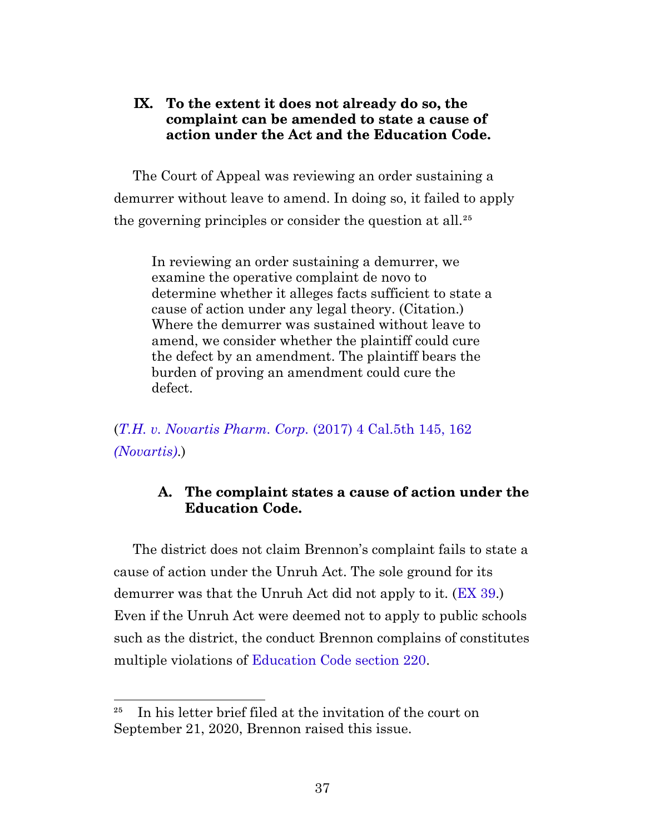#### <span id="page-36-0"></span>**IX. To the extent it does not already do so, the complaint can be amended to state a cause of action under the Act and the Education Code.**

The Court of Appeal was reviewing an order sustaining a demurrer without leave to amend. In doing so, it failed to apply the governing principles or consider the question at all.<sup>25</sup>

In reviewing an order sustaining a demurrer, we examine the operative complaint de novo to determine whether it alleges facts sufficient to state a cause of action under any legal theory. (Citation.) Where the demurrer was sustained without leave to amend, we consider whether the plaintiff could cure the defect by an amendment. The plaintiff bears the burden of proving an amendment could cure the defect.

<span id="page-36-1"></span>(*[T.H. v. Novartis Pharm. Corp.](https://casetext.com/case/th-v-novartis-pharm-corp#p162)* (2017) 4 Cal.5th 145, 162 *[\(Novartis\)](https://casetext.com/case/th-v-novartis-pharm-corp#p162)*.)

#### **A. The complaint states a cause of action under the Education Code.**

The district does not claim Brennon's complaint fails to state a cause of action under the Unruh Act. The sole ground for its demurrer was that the Unruh Act did not apply to it. ([EX 39.](http://app.typelaw.com/r/9jctczreymwboa?pin=39&page=39#page=39)) Even if the Unruh Act were deemed not to apply to public schools such as the district, the conduct Brennon complains of constitutes multiple violations of [Education Code section 220.](https://leginfo.legislature.ca.gov/faces/codes_displaySection.xhtml?sectionNum=220.&lawCode=EDC)

 $25$  In his letter brief filed at the invitation of the court on September 21, 2020, Brennon raised this issue.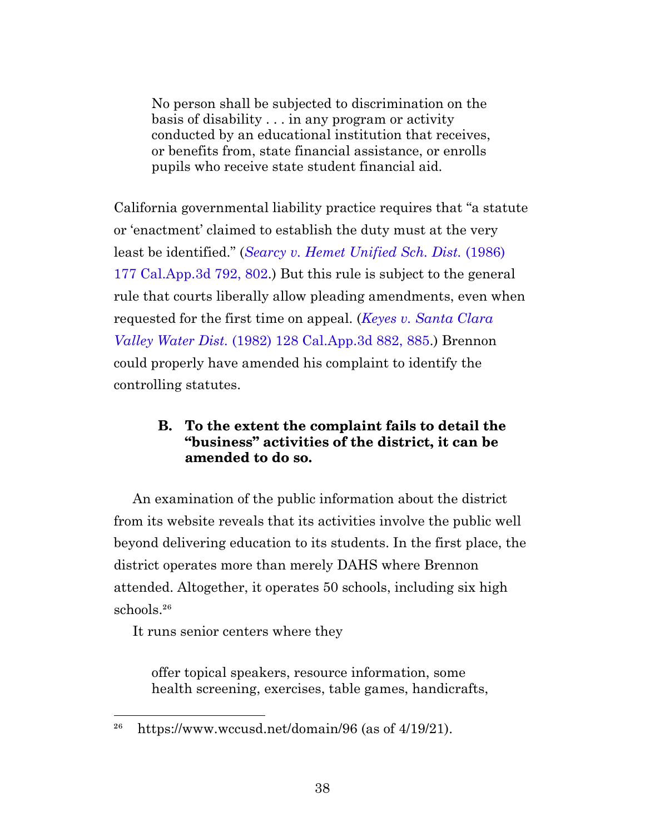No person shall be subjected to discrimination on the basis of disability . . . in any program or activity conducted by an educational institution that receives, or benefits from, state financial assistance, or enrolls pupils who receive state student financial aid.

California governmental liability practice requires that "a statute or 'enactment' claimed to establish the duty must at the very least be identified." (*[Searcy v. Hemet Unified Sch. Dist.](https://casetext.com/case/searcy-v-hemet-unified-school-dist#p802)* (1986) [177 Cal.App.3d 792, 802](https://casetext.com/case/searcy-v-hemet-unified-school-dist#p802).) But this rule is subject to the general rule that courts liberally allow pleading amendments, even when requested for the first time on appeal. (*[Keyes v. Santa Clara](https://casetext.com/case/keyes-v-santa-clara-valley-water-dist#p885) Valley Water Dist.* [\(1982\) 128 Cal.App.3d 882, 885](https://casetext.com/case/keyes-v-santa-clara-valley-water-dist#p885).) Brennon could properly have amended his complaint to identify the controlling statutes.

#### **B. To the extent the complaint fails to detail the "business" activities of the district, it can be amended to do so.**

<span id="page-37-0"></span>An examination of the public information about the district from its website reveals that its activities involve the public well beyond delivering education to its students. In the first place, the district operates more than merely DAHS where Brennon attended. Altogether, it operates 50 schools, including six high schools.<sup>26</sup>

It runs senior centers where they

offer topical speakers, resource information, some health screening, exercises, table games, handicrafts,

<sup>&</sup>lt;sup>26</sup> https://www.wccusd.net/domain/96 (as of  $4/19/21$ ).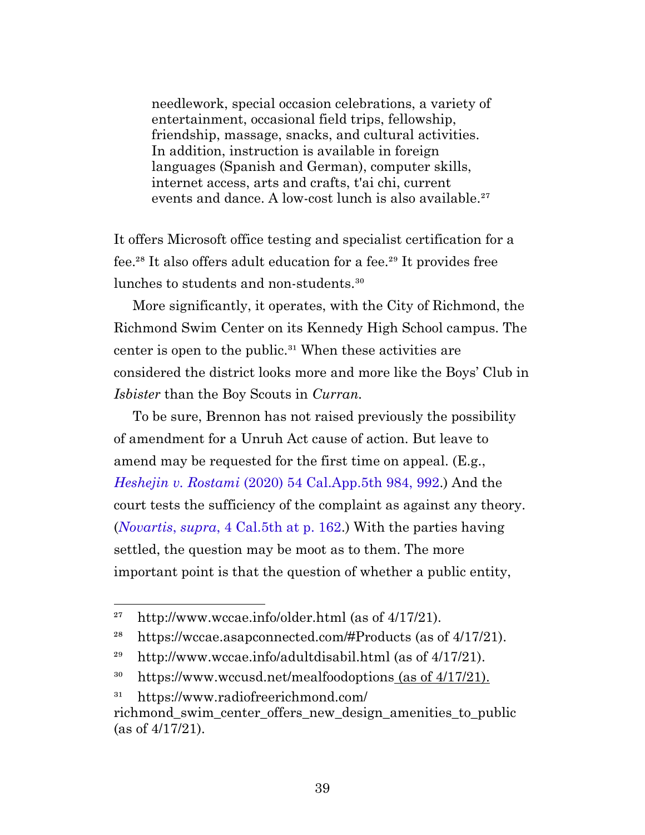needlework, special occasion celebrations, a variety of entertainment, occasional field trips, fellowship, friendship, massage, snacks, and cultural activities. In addition, instruction is available in foreign languages (Spanish and German), computer skills, internet access, arts and crafts, t'ai chi, current events and dance. A low-cost lunch is also available.<sup>27</sup>

It offers Microsoft office testing and specialist certification for a fee.<sup>28</sup> It also offers adult education for a fee.<sup>29</sup> It provides free lunches to students and non-students.<sup>30</sup>

More significantly, it operates, with the City of Richmond, the Richmond Swim Center on its Kennedy High School campus. The center is open to the public. $31$  When these activities are considered the district looks more and more like the Boys' Club in *Isbister* than the Boy Scouts in *Curran.*

To be sure, Brennon has not raised previously the possibility of amendment for a Unruh Act cause of action. But leave to amend may be requested for the first time on appeal. (E.g., *Heshejin v. Rostami* [\(2020\) 54 Cal.App.5th 984, 992](https://casetext.com/case/heshejin-v-rostami#p992).) And the court tests the sufficiency of the complaint as against any theory. (*Novartis*, *supra*[, 4 Cal.5th at p. 162](https://casetext.com/case/th-v-novartis-pharm-corp#p162).) With the parties having settled, the question may be moot as to them. The more important point is that the question of whether a public entity,

<sup>&</sup>lt;sup>27</sup> http://www.wccae.info/older.html (as of  $4/17/21$ ).

<sup>&</sup>lt;sup>28</sup> https://wccae.asapconnected.com/#Products (as of  $4/17/21$ ).

<sup>&</sup>lt;sup>29</sup> http://www.wccae.info/adultdisabil.html (as of  $4/17/21$ ).

<sup>&</sup>lt;sup>30</sup> https://www.wccusd.net/mealfoodoptions (as of 4/17/21).

<sup>&</sup>lt;sup>31</sup> https://www.radiofreerichmond.com/

richmond\_swim\_center\_offers\_new\_design\_amenities\_to\_public (as of 4/17/21).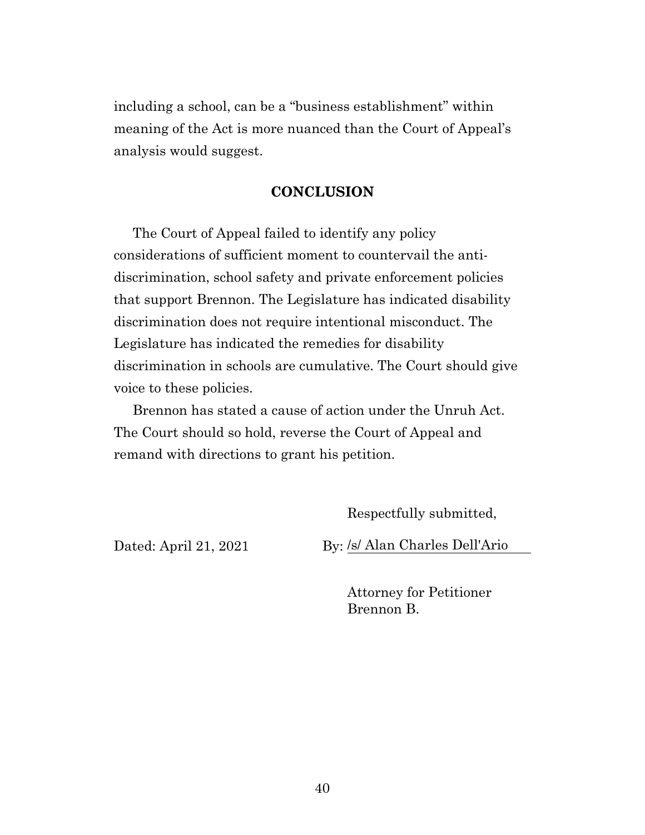including a school, can be a "business establishment" within meaning of the Act is more nuanced than the Court of Appeal's analysis would suggest.

#### **CONCLUSION**

<span id="page-39-0"></span>The Court of Appeal failed to identify any policy considerations of sufficient moment to countervail the antidiscrimination, school safety and private enforcement policies that support Brennon. The Legislature has indicated disability discrimination does not require intentional misconduct. The Legislature has indicated the remedies for disability discrimination in schools are cumulative. The Court should give voice to these policies.

Brennon has stated a cause of action under the Unruh Act. The Court should so hold, reverse the Court of Appeal and remand with directions to grant his petition.

Respectfully submitted,

Dated: April 21, 2021 By: /s/ Alan Charles Dell'Ario

Attorney for Petitioner Brennon B.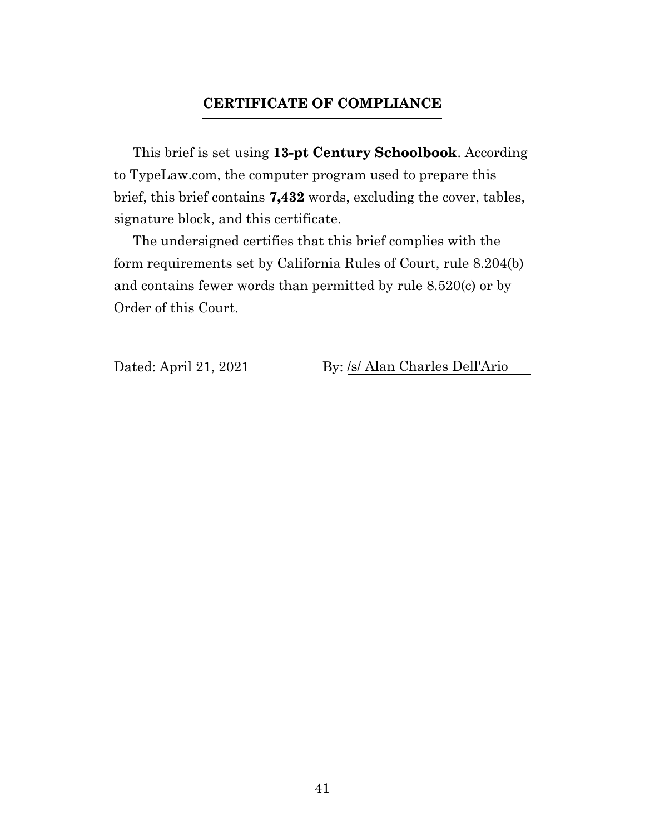#### **CERTIFICATE OF COMPLIANCE**

<span id="page-40-0"></span>This brief is set using **13-pt Century Schoolbook**. According to TypeLaw.com, the computer program used to prepare this brief, this brief contains **7,432** words, excluding the cover, tables, signature block, and this certificate.

The undersigned certifies that this brief complies with the form requirements set by California Rules of Court, rule 8.204(b) and contains fewer words than permitted by rule 8.520(c) or by Order of this Court.

Dated: April 21, 2021 By: /s/ Alan Charles Dell'Ario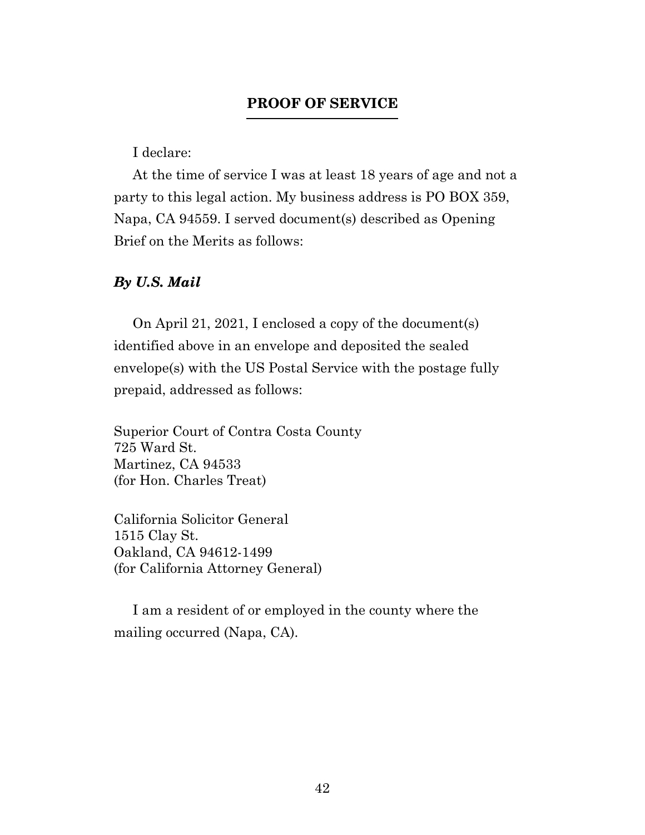#### **PROOF OF SERVICE**

I declare:

<span id="page-41-0"></span>At the time of service I was at least 18 years of age and not a party to this legal action. My business address is PO BOX 359, Napa, CA 94559. I served document(s) described as Opening Brief on the Merits as follows:

#### *By U.S. Mail*

On April 21, 2021, I enclosed a copy of the document(s) identified above in an envelope and deposited the sealed envelope(s) with the US Postal Service with the postage fully prepaid, addressed as follows:

Superior Court of Contra Costa County 725 Ward St. Martinez, CA 94533 (for Hon. Charles Treat)

California Solicitor General 1515 Clay St. Oakland, CA 94612-1499 (for California Attorney General)

I am a resident of or employed in the county where the mailing occurred (Napa, CA).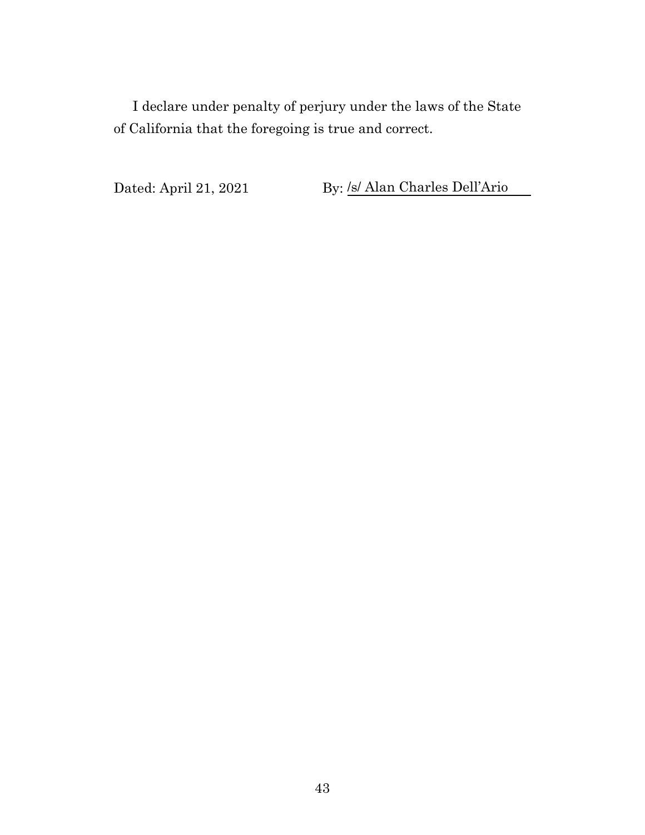I declare under penalty of perjury under the laws of the State of California that the foregoing is true and correct.

Dated: April 21, 2021 By: <u>/s/ Alan Charles Dell'Ario</u>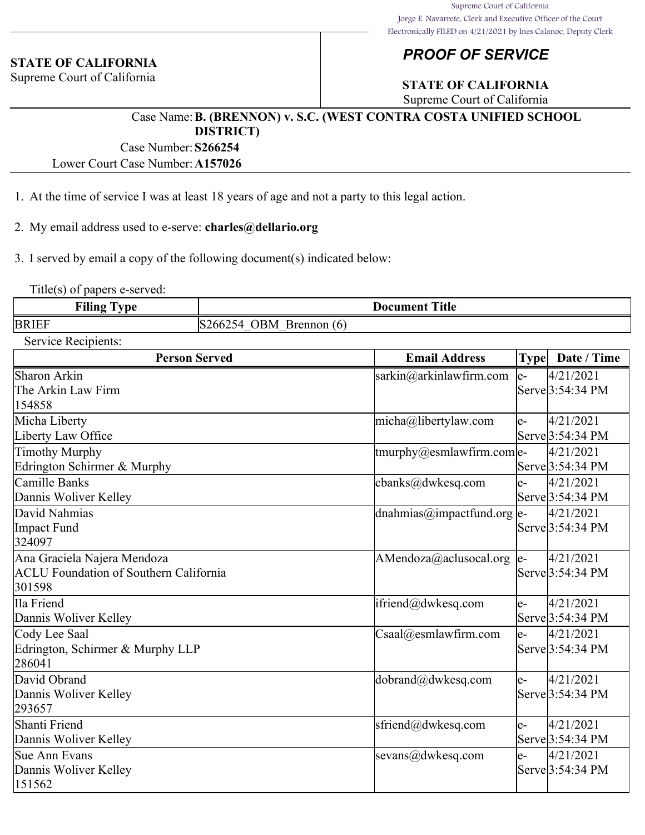#### **STATE OF CALIFORNIA**

Supreme Court of California

#### *PROOF OF SERVICE*

#### **STATE OF CALIFORNIA**

Supreme Court of California

#### Case Name:**B. (BRENNON) v. S.C. (WEST CONTRA COSTA UNIFIED SCHOOL DISTRICT)**

Case Number:**S266254**

Lower Court Case Number:**A157026**

- 1. At the time of service I was at least 18 years of age and not a party to this legal action.
- 2. My email address used to e-serve: **charles@dellario.org**

3. I served by email a copy of the following document(s) indicated below:

Title(s) of papers e-served:

| <b>Filing</b><br>$\overline{ }$<br>vpe | <b>Title</b><br>Document                               |
|----------------------------------------|--------------------------------------------------------|
| <b>BRIEF</b>                           | 7BM<br><b>Brennon</b><br>200 <sub>4</sub><br>(6)<br>74 |

| Service Recipients: |
|---------------------|
|                     |

| <b>Person Served</b>                          | <b>Email Address</b>              | <b>Type</b> | Date / Time      |
|-----------------------------------------------|-----------------------------------|-------------|------------------|
| Sharon Arkin                                  | $sarkin@arkinlaw$ firm.com        | $ e-$       | 4/21/2021        |
| The Arkin Law Firm                            |                                   |             | Serve 3:54:34 PM |
| 154858                                        |                                   |             |                  |
| Micha Liberty                                 | micha@libertylaw.com              | $e-$        | 4/21/2021        |
| Liberty Law Office                            |                                   |             | Serve 3:54:34 PM |
| <b>Timothy Murphy</b>                         | $ $ tmurphy@esmlawfirm.com $ $ e- |             | 4/21/2021        |
| Edrington Schirmer & Murphy                   |                                   |             | Serve 3:54:34 PM |
| Camille Banks                                 | cbanks@dwkesq.com                 | $e-$        | 4/21/2021        |
| Dannis Woliver Kelley                         |                                   |             | Serve 3:54:34 PM |
| David Nahmias                                 | dnahmias@impactfund.org e-        |             | 4/21/2021        |
| Impact Fund                                   |                                   |             | Serve 3:54:34 PM |
| 324097                                        |                                   |             |                  |
| Ana Graciela Najera Mendoza                   | AMendoza@aclusocal.org            | $ e-$       | 4/21/2021        |
| <b>ACLU Foundation of Southern California</b> |                                   |             | Serve 3:54:34 PM |
| 301598                                        |                                   |             |                  |
| Ila Friend                                    | ifriend@dwkesq.com                | $ e-$       | 4/21/2021        |
| Dannis Woliver Kelley                         |                                   |             | Serve 3:54:34 PM |
| Cody Lee Saal                                 | $\text{Csaal}(a)$ esmlawfirm.com  | le-         | 4/21/2021        |
| Edrington, Schirmer & Murphy LLP              |                                   |             | Serve 3:54:34 PM |
| 286041                                        |                                   |             |                  |
| David Obrand                                  | dobrand@dwkesq.com                | le-         | 4/21/2021        |
| Dannis Woliver Kelley                         |                                   |             | Serve 3:54:34 PM |
| 293657                                        |                                   |             |                  |
| Shanti Friend                                 | sfriend@dwkesq.com                | e-          | 4/21/2021        |
| Dannis Woliver Kelley                         |                                   |             | Serve 3:54:34 PM |
| Sue Ann Evans                                 | sevans@dwkesq.com                 | e-          | 4/21/2021        |
| Dannis Woliver Kelley                         |                                   |             | Serve 3:54:34 PM |
| 151562                                        |                                   |             |                  |